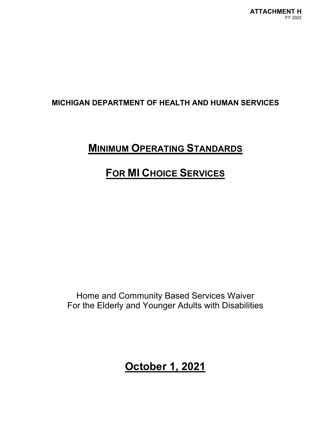# **MINIMUM OPERATING STANDARDS**

# **FOR MI CHOICE SERVICES**

Home and Community Based Services Waiver For the Elderly and Younger Adults with Disabilities

**October 1, 2021**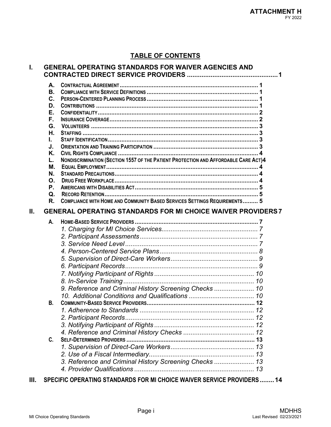# **TABLE OF CONTENTS**

# **I. GENERAL OPERATING STANDARDS FOR WAIVER AGENCIES AND CONTRACTED DIRECT SERVICE PROVIDERS ..................................................1**

|     | А.             |                                                                                     |  |
|-----|----------------|-------------------------------------------------------------------------------------|--|
|     | Β.             |                                                                                     |  |
|     | $\mathbf{C}$ . |                                                                                     |  |
|     | D.             |                                                                                     |  |
|     | Е.             |                                                                                     |  |
|     | F.             |                                                                                     |  |
|     | G.             |                                                                                     |  |
|     | Н.             |                                                                                     |  |
|     | L.             |                                                                                     |  |
|     | J.             |                                                                                     |  |
|     | Κ.             |                                                                                     |  |
|     | L.             | NONDISCRIMINATION (SECTION 1557 OF THE PATIENT PROTECTION AND AFFORDABLE CARE ACT)4 |  |
|     | М.             |                                                                                     |  |
|     | N.             |                                                                                     |  |
|     | Ο.             |                                                                                     |  |
|     | P.             |                                                                                     |  |
|     | Q.             |                                                                                     |  |
|     | R.             | <b>COMPLIANCE WITH HOME AND COMMUNITY BASED SERVICES SETTINGS REQUIREMENTS 5</b>    |  |
| II. |                | <b>GENERAL OPERATING STANDARDS FOR MI CHOICE WAIVER PROVIDERS 7</b>                 |  |
|     | А.             |                                                                                     |  |
|     |                |                                                                                     |  |
|     |                |                                                                                     |  |
|     |                |                                                                                     |  |
|     |                |                                                                                     |  |
|     |                |                                                                                     |  |
|     |                |                                                                                     |  |
|     |                |                                                                                     |  |

|                                                        | 10 |
|--------------------------------------------------------|----|
| 9. Reference and Criminal History Screening Checks  10 |    |
|                                                        |    |
| <b>B.</b>                                              |    |
|                                                        |    |
|                                                        |    |
|                                                        |    |
|                                                        |    |
| C.                                                     |    |
|                                                        |    |
|                                                        |    |
|                                                        |    |
|                                                        |    |
|                                                        |    |

**III. SPECIFIC OPERATING STANDARDS FOR MI CHOICE WAIVER SERVICE PROVIDERS........14**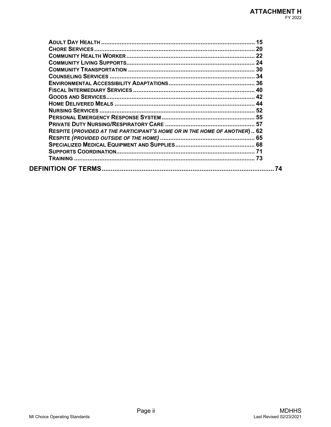| RESPITE (PROVIDED AT THE PARTICIPANT'S HOME OR IN THE HOME OF ANOTHER) 62 |    |
|---------------------------------------------------------------------------|----|
|                                                                           |    |
|                                                                           |    |
|                                                                           |    |
|                                                                           |    |
|                                                                           | 74 |
|                                                                           |    |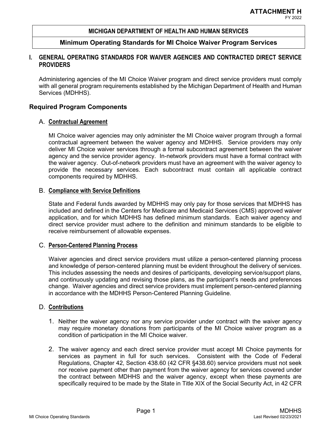# **Minimum Operating Standards for MI Choice Waiver Program Services**

# **I. GENERAL OPERATING STANDARDS FOR WAIVER AGENCIES AND CONTRACTED DIRECT SERVICE PROVIDERS**

Administering agencies of the MI Choice Waiver program and direct service providers must comply with all general program requirements established by the Michigan Department of Health and Human Services (MDHHS).

# **Required Program Components**

# A. **Contractual Agreement**

MI Choice waiver agencies may only administer the MI Choice waiver program through a formal contractual agreement between the waiver agency and MDHHS. Service providers may only deliver MI Choice waiver services through a formal subcontract agreement between the waiver agency and the service provider agency. In-network providers must have a formal contract with the waiver agency. Out-of-network providers must have an agreement with the waiver agency to provide the necessary services. Each subcontract must contain all applicable contract components required by MDHHS.

# B. **Compliance with Service Definitions**

State and Federal funds awarded by MDHHS may only pay for those services that MDHHS has included and defined in the Centers for Medicare and Medicaid Services (CMS) approved waiver application, and for which MDHHS has defined minimum standards. Each waiver agency and direct service provider must adhere to the definition and minimum standards to be eligible to receive reimbursement of allowable expenses.

# C. **Person-Centered Planning Process**

Waiver agencies and direct service providers must utilize a person-centered planning process and knowledge of person-centered planning must be evident throughout the delivery of services. This includes assessing the needs and desires of participants, developing service/support plans, and continuously updating and revising those plans, as the participant's needs and preferences change. Waiver agencies and direct service providers must implement person-centered planning in accordance with the MDHHS Person-Centered Planning Guideline.

# D. **Contributions**

- 1. Neither the waiver agency nor any service provider under contract with the waiver agency may require monetary donations from participants of the MI Choice waiver program as a condition of participation in the MI Choice waiver.
- 2. The waiver agency and each direct service provider must accept MI Choice payments for services as payment in full for such services. Consistent with the Code of Federal Regulations, Chapter 42, Section 438.60 (42 CFR §438.60) service providers must not seek nor receive payment other than payment from the waiver agency for services covered under the contract between MDHHS and the waiver agency, except when these payments are specifically required to be made by the State in Title XIX of the Social Security Act, in 42 CFR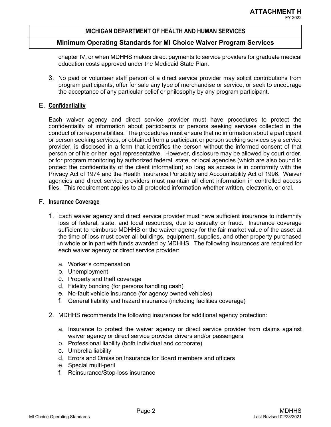#### **Minimum Operating Standards for MI Choice Waiver Program Services**

chapter IV, or when MDHHS makes direct payments to service providers for graduate medical education costs approved under the Medicaid State Plan.

3. No paid or volunteer staff person of a direct service provider may solicit contributions from program participants, offer for sale any type of merchandise or service, or seek to encourage the acceptance of any particular belief or philosophy by any program participant.

#### E. **Confidentiality**

Each waiver agency and direct service provider must have procedures to protect the confidentiality of information about participants or persons seeking services collected in the conduct of its responsibilities. The procedures must ensure that no information about a participant or person seeking services, or obtained from a participant or person seeking services by a service provider, is disclosed in a form that identifies the person without the informed consent of that person or of his or her legal representative. However, disclosure may be allowed by court order, or for program monitoring by authorized federal, state, or local agencies (which are also bound to protect the confidentiality of the client information) so long as access is in conformity with the Privacy Act of 1974 and the Health Insurance Portability and Accountability Act of 1996. Waiver agencies and direct service providers must maintain all client information in controlled access files. This requirement applies to all protected information whether written, electronic, or oral.

#### F. **Insurance Coverage**

- 1. Each waiver agency and direct service provider must have sufficient insurance to indemnify loss of federal, state, and local resources, due to casualty or fraud. Insurance coverage sufficient to reimburse MDHHS or the waiver agency for the fair market value of the asset at the time of loss must cover all buildings, equipment, supplies, and other property purchased in whole or in part with funds awarded by MDHHS. The following insurances are required for each waiver agency or direct service provider:
	- a. Worker's compensation
	- b. Unemployment
	- c. Property and theft coverage
	- d. Fidelity bonding (for persons handling cash)
	- e. No-fault vehicle insurance (for agency owned vehicles)
	- f. General liability and hazard insurance (including facilities coverage)
- 2. MDHHS recommends the following insurances for additional agency protection:
	- a. Insurance to protect the waiver agency or direct service provider from claims against waiver agency or direct service provider drivers and/or passengers
	- b. Professional liability (both individual and corporate)
	- c. Umbrella liability
	- d. Errors and Omission Insurance for Board members and officers
	- e. Special multi-peril
	- f. Reinsurance/Stop-loss insurance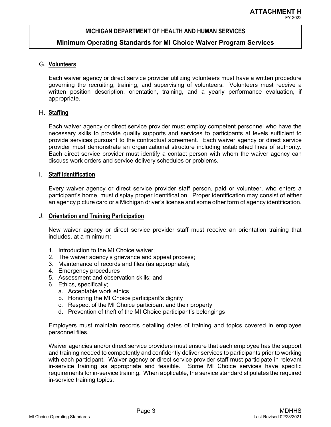#### **Minimum Operating Standards for MI Choice Waiver Program Services**

#### G. **Volunteers**

Each waiver agency or direct service provider utilizing volunteers must have a written procedure governing the recruiting, training, and supervising of volunteers. Volunteers must receive a written position description, orientation, training, and a yearly performance evaluation, if appropriate.

#### H. **Staffing**

Each waiver agency or direct service provider must employ competent personnel who have the necessary skills to provide quality supports and services to participants at levels sufficient to provide services pursuant to the contractual agreement. Each waiver agency or direct service provider must demonstrate an organizational structure including established lines of authority. Each direct service provider must identify a contact person with whom the waiver agency can discuss work orders and service delivery schedules or problems.

#### I. **Staff Identification**

Every waiver agency or direct service provider staff person, paid or volunteer, who enters a participant's home, must display proper identification. Proper identification may consist of either an agency picture card or a Michigan driver's license and some other form of agency identification.

#### J. **Orientation and Training Participation**

New waiver agency or direct service provider staff must receive an orientation training that includes, at a minimum:

- 1. Introduction to the MI Choice waiver;
- 2. The waiver agency's grievance and appeal process;
- 3. Maintenance of records and files (as appropriate);
- 4. Emergency procedures
- 5. Assessment and observation skills; and
- 6. Ethics, specifically;
	- a. Acceptable work ethics
	- b. Honoring the MI Choice participant's dignity
	- c. Respect of the MI Choice participant and their property
	- d. Prevention of theft of the MI Choice participant's belongings

Employers must maintain records detailing dates of training and topics covered in employee personnel files.

Waiver agencies and/or direct service providers must ensure that each employee has the support and training needed to competently and confidently deliver services to participants prior to working with each participant. Waiver agency or direct service provider staff must participate in relevant in-service training as appropriate and feasible. Some MI Choice services have specific requirements for in-service training. When applicable, the service standard stipulates the required in-service training topics.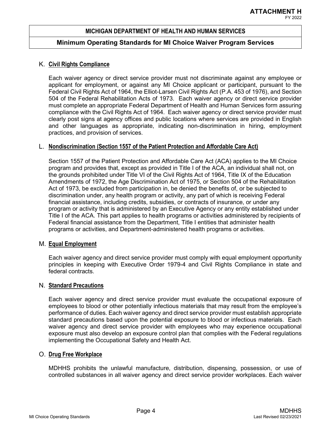#### **Minimum Operating Standards for MI Choice Waiver Program Services**

#### K. **Civil Rights Compliance**

Each waiver agency or direct service provider must not discriminate against any employee or applicant for employment, or against any MI Choice applicant or participant, pursuant to the Federal Civil Rights Act of 1964, the Elliot-Larsen Civil Rights Act (P.A. 453 of 1976), and Section 504 of the Federal Rehabilitation Acts of 1973. Each waiver agency or direct service provider must complete an appropriate Federal Department of Health and Human Services form assuring compliance with the Civil Rights Act of 1964. Each waiver agency or direct service provider must clearly post signs at agency offices and public locations where services are provided in English and other languages as appropriate, indicating non-discrimination in hiring, employment practices, and provision of services.

#### L. **Nondiscrimination (Section 1557 of the Patient Protection and Affordable Care Act)**

Section 1557 of the Patient Protection and Affordable Care Act (ACA) applies to the MI Choice program and provides that, except as provided in Title I of the ACA, an individual shall not, on the grounds prohibited under Title VI of the Civil Rights Act of 1964, Title IX of the Education Amendments of 1972, the Age Discrimination Act of 1975, or Section 504 of the Rehabilitation Act of 1973, be excluded from participation in, be denied the benefits of, or be subjected to discrimination under, any health program or activity, any part of which is receiving Federal financial assistance, including credits, subsidies, or contracts of insurance, or under any program or activity that is administered by an Executive Agency or any entity established under Title I of the ACA. This part applies to health programs or activities administered by recipients of Federal financial assistance from the Department, Title I entities that administer health programs or activities, and Department-administered health programs or activities.

#### M. **Equal Employment**

Each waiver agency and direct service provider must comply with equal employment opportunity principles in keeping with Executive Order 1979-4 and Civil Rights Compliance in state and federal contracts.

#### N. **Standard Precautions**

Each waiver agency and direct service provider must evaluate the occupational exposure of employees to blood or other potentially infectious materials that may result from the employee's performance of duties. Each waiver agency and direct service provider must establish appropriate standard precautions based upon the potential exposure to blood or infectious materials. Each waiver agency and direct service provider with employees who may experience occupational exposure must also develop an exposure control plan that complies with the Federal regulations implementing the Occupational Safety and Health Act.

#### O. **Drug Free Workplace**

MDHHS prohibits the unlawful manufacture, distribution, dispensing, possession, or use of controlled substances in all waiver agency and direct service provider workplaces. Each waiver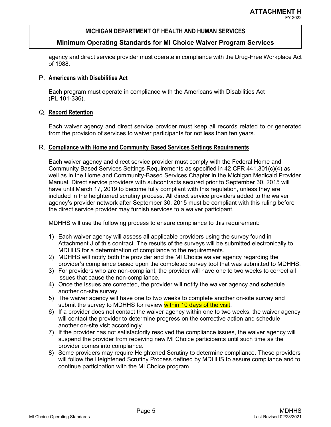### **Minimum Operating Standards for MI Choice Waiver Program Services**

agency and direct service provider must operate in compliance with the Drug-Free Workplace Act of 1988.

#### P. **Americans with Disabilities Act**

Each program must operate in compliance with the Americans with Disabilities Act (PL 101-336).

#### Q. **Record Retention**

Each waiver agency and direct service provider must keep all records related to or generated from the provision of services to waiver participants for not less than ten years.

#### R. **Compliance with Home and Community Based Services Settings Requirements**

Each waiver agency and direct service provider must comply with the Federal Home and Community Based Services Settings Requirements as specified in 42 CFR 441.301(c)(4) as well as in the Home and Community-Based Services Chapter in the Michigan Medicaid Provider Manual. Direct service providers with subcontracts secured prior to September 30, 2015 will have until March 17, 2019 to become fully compliant with this regulation, unless they are included in the heightened scrutiny process. All direct service providers added to the waiver agency's provider network after September 30, 2015 must be compliant with this ruling before the direct service provider may furnish services to a waiver participant.

MDHHS will use the following process to ensure compliance to this requirement:

- 1) Each waiver agency will assess all applicable providers using the survey found in Attachment J of this contract. The results of the surveys will be submitted electronically to MDHHS for a determination of compliance to the requirements.
- 2) MDHHS will notify both the provider and the MI Choice waiver agency regarding the provider's compliance based upon the completed survey tool that was submitted to MDHHS.
- 3) For providers who are non-compliant, the provider will have one to two weeks to correct all issues that cause the non-compliance.
- 4) Once the issues are corrected, the provider will notify the waiver agency and schedule another on-site survey.
- 5) The waiver agency will have one to two weeks to complete another on-site survey and submit the survey to MDHHS for review within 10 days of the visit.
- 6) If a provider does not contact the waiver agency within one to two weeks, the waiver agency will contact the provider to determine progress on the corrective action and schedule another on-site visit accordingly.
- 7) If the provider has not satisfactorily resolved the compliance issues, the waiver agency will suspend the provider from receiving new MI Choice participants until such time as the provider comes into compliance.
- 8) Some providers may require Heightened Scrutiny to determine compliance. These providers will follow the Heightened Scrutiny Process defined by MDHHS to assure compliance and to continue participation with the MI Choice program.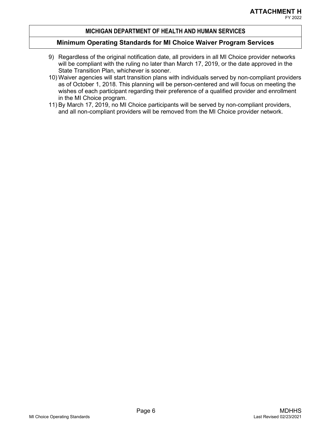# FY 2022

#### **MICHIGAN DEPARTMENT OF HEALTH AND HUMAN SERVICES**

- 9) Regardless of the original notification date, all providers in all MI Choice provider networks will be compliant with the ruling no later than March 17, 2019, or the date approved in the State Transition Plan, whichever is sooner.
- 10) Waiver agencies will start transition plans with individuals served by non-compliant providers as of October 1, 2018. This planning will be person-centered and will focus on meeting the wishes of each participant regarding their preference of a qualified provider and enrollment in the MI Choice program.
- 11) By March 17, 2019, no MI Choice participants will be served by non-compliant providers, and all non-compliant providers will be removed from the MI Choice provider network.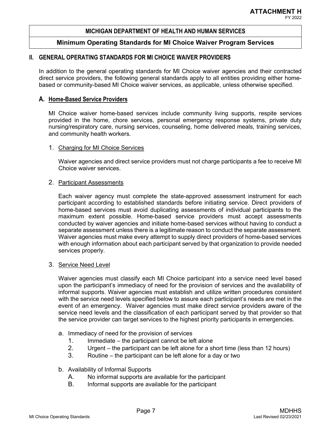#### **Minimum Operating Standards for MI Choice Waiver Program Services**

#### **II. GENERAL OPERATING STANDARDS FOR MI CHOICE WAIVER PROVIDERS**

In addition to the general operating standards for MI Choice waiver agencies and their contracted direct service providers, the following general standards apply to all entities providing either homebased or community-based MI Choice waiver services, as applicable, unless otherwise specified.

#### **A. Home-Based Service Providers**

MI Choice waiver home-based services include community living supports, respite services provided in the home, chore services, personal emergency response systems, private duty nursing/respiratory care, nursing services, counseling, home delivered meals, training services, and community health workers.

#### 1. Charging for MI Choice Services

Waiver agencies and direct service providers must not charge participants a fee to receive MI Choice waiver services.

#### 2. Participant Assessments

Each waiver agency must complete the state-approved assessment instrument for each participant according to established standards before initiating service. Direct providers of home-based services must avoid duplicating assessments of individual participants to the maximum extent possible. Home-based service providers must accept assessments conducted by waiver agencies and initiate home-based services without having to conduct a separate assessment unless there is a legitimate reason to conduct the separate assessment. Waiver agencies must make every attempt to supply direct providers of home-based services with enough information about each participant served by that organization to provide needed services properly.

#### 3. Service Need Level

Waiver agencies must classify each MI Choice participant into a service need level based upon the participant's immediacy of need for the provision of services and the availability of informal supports. Waiver agencies must establish and utilize written procedures consistent with the service need levels specified below to assure each participant's needs are met in the event of an emergency. Waiver agencies must make direct service providers aware of the service need levels and the classification of each participant served by that provider so that the service provider can target services to the highest priority participants in emergencies.

- a. Immediacy of need for the provision of services
	- 1. Immediate the participant cannot be left alone
	- 2. Urgent the participant can be left alone for a short time (less than 12 hours)
	- 3. Routine the participant can be left alone for a day or two
- b. Availability of Informal Supports
	- A. No informal supports are available for the participant
	- B. Informal supports are available for the participant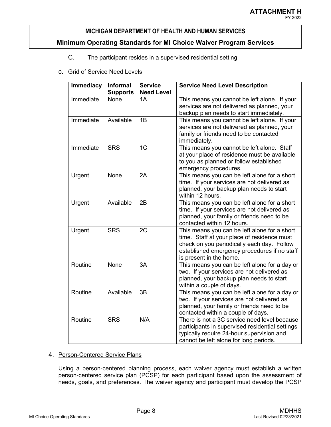# **Minimum Operating Standards for MI Choice Waiver Program Services**

# C. The participant resides in a supervised residential setting

c. Grid of Service Need Levels

| <b>Immediacy</b> | Informal<br><b>Supports</b> | <b>Service</b><br><b>Need Level</b> | <b>Service Need Level Description</b>                                                                                                                                                                                |
|------------------|-----------------------------|-------------------------------------|----------------------------------------------------------------------------------------------------------------------------------------------------------------------------------------------------------------------|
| Immediate        | <b>None</b>                 | 1A                                  | This means you cannot be left alone. If your<br>services are not delivered as planned, your<br>backup plan needs to start immediately.                                                                               |
| Immediate        | Available                   | 1B                                  | This means you cannot be left alone. If your<br>services are not delivered as planned, your<br>family or friends need to be contacted<br>immediately.                                                                |
| Immediate        | <b>SRS</b>                  | 1 <sup>C</sup>                      | This means you cannot be left alone. Staff<br>at your place of residence must be available<br>to you as planned or follow established<br>emergency procedures.                                                       |
| Urgent           | None                        | 2A                                  | This means you can be left alone for a short<br>time. If your services are not delivered as<br>planned, your backup plan needs to start<br>within 12 hours.                                                          |
| Urgent           | Available                   | 2B                                  | This means you can be left alone for a short<br>time. If your services are not delivered as<br>planned, your family or friends need to be<br>contacted within 12 hours.                                              |
| Urgent           | <b>SRS</b>                  | 2C                                  | This means you can be left alone for a short<br>time. Staff at your place of residence must<br>check on you periodically each day. Follow<br>established emergency procedures if no staff<br>is present in the home. |
| Routine          | None                        | 3A                                  | This means you can be left alone for a day or<br>two. If your services are not delivered as<br>planned, your backup plan needs to start<br>within a couple of days.                                                  |
| Routine          | Available                   | 3B                                  | This means you can be left alone for a day or<br>two. If your services are not delivered as<br>planned, your family or friends need to be<br>contacted within a couple of days.                                      |
| Routine          | <b>SRS</b>                  | N/A                                 | There is not a 3C service need level because<br>participants in supervised residential settings<br>typically require 24-hour supervision and<br>cannot be left alone for long periods.                               |

### 4. Person-Centered Service Plans

Using a person-centered planning process, each waiver agency must establish a written person-centered service plan (PCSP) for each participant based upon the assessment of needs, goals, and preferences. The waiver agency and participant must develop the PCSP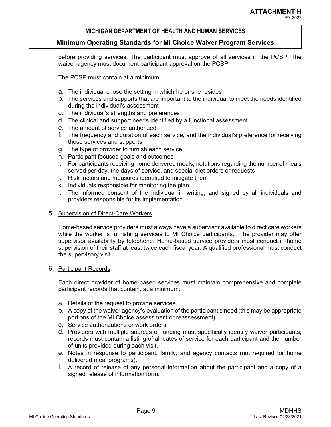# **Minimum Operating Standards for MI Choice Waiver Program Services**

before providing services. The participant must approve of all services in the PCSP. The waiver agency must document participant approval on the PCSP.

The PCSP must contain at a minimum:

- a. The individual chose the setting in which he or she resides
- b. The services and supports that are important to the individual to meet the needs identified during the individual's assessment
- c. The individual's strengths and preferences
- d. The clinical and support needs identified by a functional assessment
- e. The amount of service authorized
- f. The frequency and duration of each service, and the individual's preference for receiving those services and supports
- g. The type of provider to furnish each service
- h. Participant focused goals and outcomes
- i. For participants receiving home delivered meals, notations regarding the number of meals served per day, the days of service, and special diet orders or requests
- j. Risk factors and measures identified to mitigate them
- k. Individuals responsible for monitoring the plan
- l. The informed consent of the individual in writing, and signed by all individuals and providers responsible for its implementation

# 5. Supervision of Direct-Care Workers

Home-based service providers must always have a supervisor available to direct care workers while the worker is furnishing services to MI Choice participants. The provider may offer supervisor availability by telephone. Home-based service providers must conduct in-home supervision of their staff at least twice each fiscal year. A qualified professional must conduct the supervisory visit.

# 6. Participant Records

Each direct provider of home-based services must maintain comprehensive and complete participant records that contain, at a minimum:

- a. Details of the request to provide services.
- b. A copy of the waiver agency's evaluation of the participant's need (this may be appropriate portions of the MI Choice assessment or reassessment).
- c. Service authorizations or work orders.
- d. Providers with multiple sources of funding must specifically identify waiver participants; records must contain a listing of all dates of service for each participant and the number of units provided during each visit.
- e. Notes in response to participant, family, and agency contacts (not required for home delivered meal programs).
- f. A record of release of any personal information about the participant and a copy of a signed release of information form.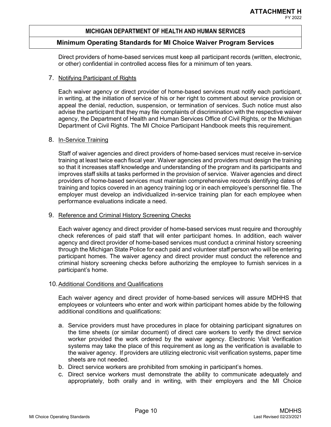#### **Minimum Operating Standards for MI Choice Waiver Program Services**

Direct providers of home-based services must keep all participant records (written, electronic, or other) confidential in controlled access files for a minimum of ten years.

#### 7. Notifying Participant of Rights

Each waiver agency or direct provider of home-based services must notify each participant, in writing, at the initiation of service of his or her right to comment about service provision or appeal the denial, reduction, suspension, or termination of services. Such notice must also advise the participant that they may file complaints of discrimination with the respective waiver agency, the Department of Health and Human Services Office of Civil Rights, or the Michigan Department of Civil Rights. The MI Choice Participant Handbook meets this requirement.

#### 8. In-Service Training

Staff of waiver agencies and direct providers of home-based services must receive in-service training at least twice each fiscal year. Waiver agencies and providers must design the training so that it increases staff knowledge and understanding of the program and its participants and improves staff skills at tasks performed in the provision of service. Waiver agencies and direct providers of home-based services must maintain comprehensive records identifying dates of training and topics covered in an agency training log or in each employee's personnel file. The employer must develop an individualized in-service training plan for each employee when performance evaluations indicate a need.

#### 9. Reference and Criminal History Screening Checks

Each waiver agency and direct provider of home-based services must require and thoroughly check references of paid staff that will enter participant homes. In addition, each waiver agency and direct provider of home-based services must conduct a criminal history screening through the Michigan State Police for each paid and volunteer staff person who will be entering participant homes. The waiver agency and direct provider must conduct the reference and criminal history screening checks before authorizing the employee to furnish services in a participant's home.

#### 10. Additional Conditions and Qualifications

Each waiver agency and direct provider of home-based services will assure MDHHS that employees or volunteers who enter and work within participant homes abide by the following additional conditions and qualifications:

- a. Service providers must have procedures in place for obtaining participant signatures on the time sheets (or similar document) of direct care workers to verify the direct service worker provided the work ordered by the waiver agency. Electronic Visit Verification systems may take the place of this requirement as long as the verification is available to the waiver agency. If providers are utilizing electronic visit verification systems, paper time sheets are not needed.
- b. Direct service workers are prohibited from smoking in participant's homes.
- c. Direct service workers must demonstrate the ability to communicate adequately and appropriately, both orally and in writing, with their employers and the MI Choice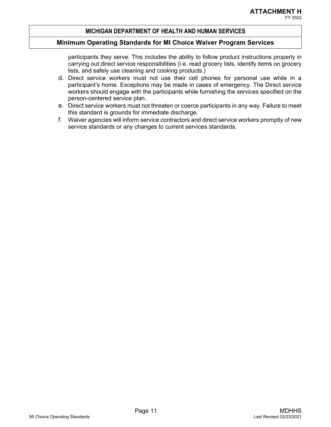# FY 2022

#### **MICHIGAN DEPARTMENT OF HEALTH AND HUMAN SERVICES**

#### **Minimum Operating Standards for MI Choice Waiver Program Services**

participants they serve. This includes the ability to follow product instructions properly in carrying out direct service responsibilities (i.e. read grocery lists, identify items on grocery lists, and safely use cleaning and cooking products.)

- d. Direct service workers must not use their cell phones for personal use while in a participant's home. Exceptions may be made in cases of emergency. The Direct service workers should engage with the participants while furnishing the services specified on the person-centered service plan.
- e. Direct service workers must not threaten or coerce participants in any way. Failure to meet this standard is grounds for immediate discharge.
- f. Waiver agencies will inform service contractors and direct service workers promptly of new service standards or any changes to current services standards.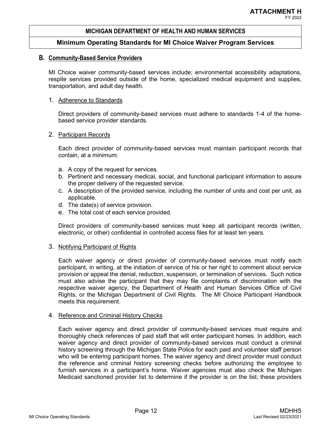#### **Minimum Operating Standards for MI Choice Waiver Program Services**

#### **B. Community-Based Service Providers**

MI Choice waiver community-based services include; environmental accessibility adaptations, respite services provided outside of the home, specialized medical equipment and supplies, transportation, and adult day health.

#### 1. Adherence to Standards

Direct providers of community-based services must adhere to standards 1-4 of the homebased service provider standards.

#### 2. Participant Records

Each direct provider of community-based services must maintain participant records that contain, at a minimum:

- a. A copy of the request for services.
- b. Pertinent and necessary medical, social, and functional participant information to assure the proper delivery of the requested service.
- c. A description of the provided service, including the number of units and cost per unit, as applicable.
- d. The date(s) of service provision.
- e. The total cost of each service provided.

Direct providers of community-based services must keep all participant records (written, electronic, or other) confidential in controlled access files for at least ten years.

#### 3. Notifying Participant of Rights

Each waiver agency or direct provider of community-based services must notify each participant, in writing, at the initiation of service of his or her right to comment about service provision or appeal the denial, reduction, suspension, or termination of services. Such notice must also advise the participant that they may file complaints of discrimination with the respective waiver agency, the Department of Health and Human Services Office of Civil Rights, or the Michigan Department of Civil Rights. The MI Choice Participant Handbook meets this requirement.

#### 4. Reference and Criminal History Checks

Each waiver agency and direct provider of community-based services must require and thoroughly check references of paid staff that will enter participant homes. In addition, each waiver agency and direct provider of community-based services must conduct a criminal history screening through the Michigan State Police for each paid and volunteer staff person who will be entering participant homes. The waiver agency and direct provider must conduct the reference and criminal history screening checks before authorizing the employee to furnish services in a participant's home. Waiver agencies must also check the Michigan Medicaid sanctioned provider list to determine if the provider is on the list; these providers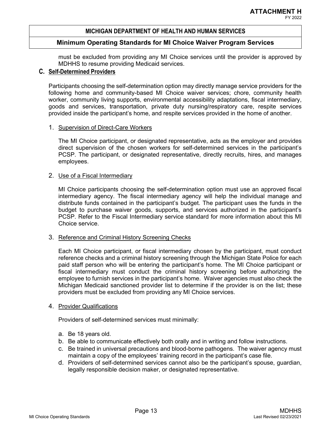#### **Minimum Operating Standards for MI Choice Waiver Program Services**

must be excluded from providing any MI Choice services until the provider is approved by MDHHS to resume providing Medicaid services.

### **C. Self-Determined Providers**

Participants choosing the self-determination option may directly manage service providers for the following home and community-based MI Choice waiver services; chore, community health worker, community living supports, environmental accessibility adaptations, fiscal intermediary, goods and services, transportation, private duty nursing/respiratory care, respite services provided inside the participant's home, and respite services provided in the home of another.

#### 1. Supervision of Direct-Care Workers

The MI Choice participant, or designated representative, acts as the employer and provides direct supervision of the chosen workers for self-determined services in the participant's PCSP. The participant, or designated representative, directly recruits, hires, and manages employees.

#### 2. Use of a Fiscal Intermediary

MI Choice participants choosing the self-determination option must use an approved fiscal intermediary agency. The fiscal intermediary agency will help the individual manage and distribute funds contained in the participant's budget. The participant uses the funds in the budget to purchase waiver goods, supports, and services authorized in the participant's PCSP. Refer to the Fiscal Intermediary service standard for more information about this MI Choice service.

#### 3. Reference and Criminal History Screening Checks

Each MI Choice participant, or fiscal intermediary chosen by the participant, must conduct reference checks and a criminal history screening through the Michigan State Police for each paid staff person who will be entering the participant's home. The MI Choice participant or fiscal intermediary must conduct the criminal history screening before authorizing the employee to furnish services in the participant's home. Waiver agencies must also check the Michigan Medicaid sanctioned provider list to determine if the provider is on the list; these providers must be excluded from providing any MI Choice services.

#### 4. Provider Qualifications

Providers of self-determined services must minimally:

- a. Be 18 years old.
- b. Be able to communicate effectively both orally and in writing and follow instructions.
- c. Be trained in universal precautions and blood-borne pathogens. The waiver agency must maintain a copy of the employees' training record in the participant's case file.
- d. Providers of self-determined services cannot also be the participant's spouse, guardian, legally responsible decision maker, or designated representative.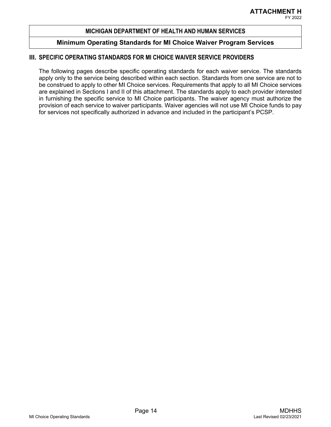### **Minimum Operating Standards for MI Choice Waiver Program Services**

#### **III. SPECIFIC OPERATING STANDARDS FOR MI CHOICE WAIVER SERVICE PROVIDERS**

The following pages describe specific operating standards for each waiver service. The standards apply only to the service being described within each section. Standards from one service are not to be construed to apply to other MI Choice services. Requirements that apply to all MI Choice services are explained in Sections I and II of this attachment. The standards apply to each provider interested in furnishing the specific service to MI Choice participants. The waiver agency must authorize the provision of each service to waiver participants. Waiver agencies will not use MI Choice funds to pay for services not specifically authorized in advance and included in the participant's PCSP.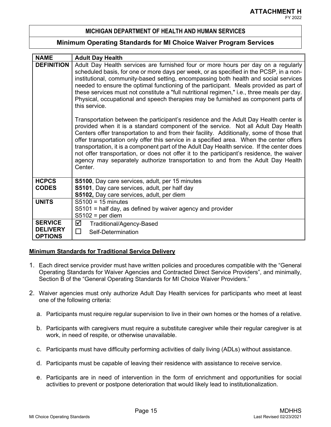#### **Minimum Operating Standards for MI Choice Waiver Program Services**

| <b>NAME</b>                       | <b>Adult Day Health</b>                                                                                                                                                                                                                                                                                                                                                                                                                                                                                                                                                                                                                                      |  |
|-----------------------------------|--------------------------------------------------------------------------------------------------------------------------------------------------------------------------------------------------------------------------------------------------------------------------------------------------------------------------------------------------------------------------------------------------------------------------------------------------------------------------------------------------------------------------------------------------------------------------------------------------------------------------------------------------------------|--|
| <b>DEFINITION</b>                 | Adult Day Health services are furnished four or more hours per day on a regularly                                                                                                                                                                                                                                                                                                                                                                                                                                                                                                                                                                            |  |
|                                   | scheduled basis, for one or more days per week, or as specified in the PCSP, in a non-<br>institutional, community-based setting, encompassing both health and social services                                                                                                                                                                                                                                                                                                                                                                                                                                                                               |  |
|                                   | needed to ensure the optimal functioning of the participant. Meals provided as part of                                                                                                                                                                                                                                                                                                                                                                                                                                                                                                                                                                       |  |
|                                   | these services must not constitute a "full nutritional regimen," i.e., three meals per day.                                                                                                                                                                                                                                                                                                                                                                                                                                                                                                                                                                  |  |
|                                   | Physical, occupational and speech therapies may be furnished as component parts of<br>this service.                                                                                                                                                                                                                                                                                                                                                                                                                                                                                                                                                          |  |
|                                   | Transportation between the participant's residence and the Adult Day Health center is<br>provided when it is a standard component of the service. Not all Adult Day Health<br>Centers offer transportation to and from their facility. Additionally, some of those that<br>offer transportation only offer this service in a specified area. When the center offers<br>transportation, it is a component part of the Adult Day Health service. If the center does<br>not offer transportation, or does not offer it to the participant's residence, the waiver<br>agency may separately authorize transportation to and from the Adult Day Health<br>Center. |  |
| <b>HCPCS</b>                      | S5100, Day care services, adult, per 15 minutes                                                                                                                                                                                                                                                                                                                                                                                                                                                                                                                                                                                                              |  |
| <b>CODES</b>                      | S5101, Day care services, adult, per half day                                                                                                                                                                                                                                                                                                                                                                                                                                                                                                                                                                                                                |  |
|                                   | S5102, Day care services, adult, per diem                                                                                                                                                                                                                                                                                                                                                                                                                                                                                                                                                                                                                    |  |
| <b>UNITS</b>                      | $S5100 = 15$ minutes                                                                                                                                                                                                                                                                                                                                                                                                                                                                                                                                                                                                                                         |  |
|                                   | S5101 = half day, as defined by waiver agency and provider                                                                                                                                                                                                                                                                                                                                                                                                                                                                                                                                                                                                   |  |
|                                   | $S5102$ = per diem                                                                                                                                                                                                                                                                                                                                                                                                                                                                                                                                                                                                                                           |  |
| <b>SERVICE</b>                    | ☑<br>Traditional/Agency-Based                                                                                                                                                                                                                                                                                                                                                                                                                                                                                                                                                                                                                                |  |
| <b>DELIVERY</b><br><b>OPTIONS</b> | П<br>Self-Determination                                                                                                                                                                                                                                                                                                                                                                                                                                                                                                                                                                                                                                      |  |

#### **Minimum Standards for Traditional Service Delivery**

- 1. Each direct service provider must have written policies and procedures compatible with the "General Operating Standards for Waiver Agencies and Contracted Direct Service Providers", and minimally, Section B of the "General Operating Standards for MI Choice Waiver Providers."
- 2. Waiver agencies must only authorize Adult Day Health services for participants who meet at least one of the following criteria:
	- a. Participants must require regular supervision to live in their own homes or the homes of a relative.
	- b. Participants with caregivers must require a substitute caregiver while their regular caregiver is at work, in need of respite, or otherwise unavailable.
	- c. Participants must have difficulty performing activities of daily living (ADLs) without assistance.
	- d. Participants must be capable of leaving their residence with assistance to receive service.
	- e. Participants are in need of intervention in the form of enrichment and opportunities for social activities to prevent or postpone deterioration that would likely lead to institutionalization.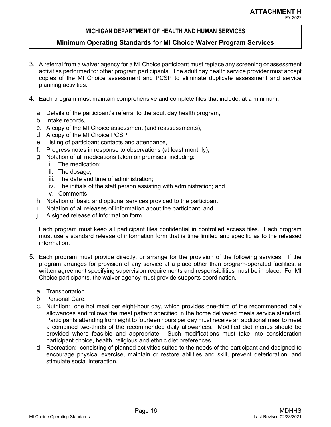### **Minimum Operating Standards for MI Choice Waiver Program Services**

- 3. A referral from a waiver agency for a MI Choice participant must replace any screening or assessment activities performed for other program participants. The adult day health service provider must accept copies of the MI Choice assessment and PCSP to eliminate duplicate assessment and service planning activities.
- 4. Each program must maintain comprehensive and complete files that include, at a minimum:
	- a. Details of the participant's referral to the adult day health program,
	- b. Intake records,
	- c. A copy of the MI Choice assessment (and reassessments),
	- d. A copy of the MI Choice PCSP,
	- e. Listing of participant contacts and attendance,
	- f. Progress notes in response to observations (at least monthly),
	- g. Notation of all medications taken on premises, including:
		- i. The medication;
		- ii. The dosage;
		- iii. The date and time of administration;
		- iv. The initials of the staff person assisting with administration; and
		- v. Comments
	- h. Notation of basic and optional services provided to the participant,
	- i. Notation of all releases of information about the participant, and
	- j. A signed release of information form.

Each program must keep all participant files confidential in controlled access files. Each program must use a standard release of information form that is time limited and specific as to the released information.

- 5. Each program must provide directly, or arrange for the provision of the following services. If the program arranges for provision of any service at a place other than program-operated facilities, a written agreement specifying supervision requirements and responsibilities must be in place. For MI Choice participants, the waiver agency must provide supports coordination.
	- a. Transportation.
	- b. Personal Care.
	- c. Nutrition: one hot meal per eight-hour day, which provides one-third of the recommended daily allowances and follows the meal pattern specified in the home delivered meals service standard. Participants attending from eight to fourteen hours per day must receive an additional meal to meet a combined two-thirds of the recommended daily allowances. Modified diet menus should be provided where feasible and appropriate. Such modifications must take into consideration participant choice, health, religious and ethnic diet preferences.
	- d. Recreation: consisting of planned activities suited to the needs of the participant and designed to encourage physical exercise, maintain or restore abilities and skill, prevent deterioration, and stimulate social interaction.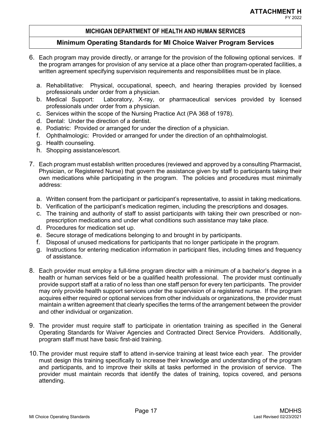- 6. Each program may provide directly, or arrange for the provision of the following optional services. If the program arranges for provision of any service at a place other than program-operated facilities, a written agreement specifying supervision requirements and responsibilities must be in place.
	- a. Rehabilitative: Physical, occupational, speech, and hearing therapies provided by licensed professionals under order from a physician.
	- b. Medical Support: Laboratory, X-ray, or pharmaceutical services provided by licensed professionals under order from a physician.
	- c. Services within the scope of the Nursing Practice Act (PA 368 of 1978).
	- d. Dental: Under the direction of a dentist.
	- e. Podiatric: Provided or arranged for under the direction of a physician.
	- f. Ophthalmologic: Provided or arranged for under the direction of an ophthalmologist.
	- g. Health counseling.
	- h. Shopping assistance/escort.
- 7. Each program must establish written procedures (reviewed and approved by a consulting Pharmacist, Physician, or Registered Nurse) that govern the assistance given by staff to participants taking their own medications while participating in the program. The policies and procedures must minimally address:
	- a. Written consent from the participant or participant's representative, to assist in taking medications.
	- b. Verification of the participant's medication regimen, including the prescriptions and dosages.
	- c. The training and authority of staff to assist participants with taking their own prescribed or nonprescription medications and under what conditions such assistance may take place.
	- d. Procedures for medication set up.
	- e. Secure storage of medications belonging to and brought in by participants.
	- f. Disposal of unused medications for participants that no longer participate in the program.
	- g. Instructions for entering medication information in participant files, including times and frequency of assistance.
- 8. Each provider must employ a full-time program director with a minimum of a bachelor's degree in a health or human services field or be a qualified health professional. The provider must continually provide support staff at a ratio of no less than one staff person for every ten participants. The provider may only provide health support services under the supervision of a registered nurse. If the program acquires either required or optional services from other individuals or organizations, the provider must maintain a written agreement that clearly specifies the terms of the arrangement between the provider and other individual or organization.
- 9. The provider must require staff to participate in orientation training as specified in the General Operating Standards for Waiver Agencies and Contracted Direct Service Providers. Additionally, program staff must have basic first-aid training.
- 10.The provider must require staff to attend in-service training at least twice each year. The provider must design this training specifically to increase their knowledge and understanding of the program and participants, and to improve their skills at tasks performed in the provision of service. The provider must maintain records that identify the dates of training, topics covered, and persons attending.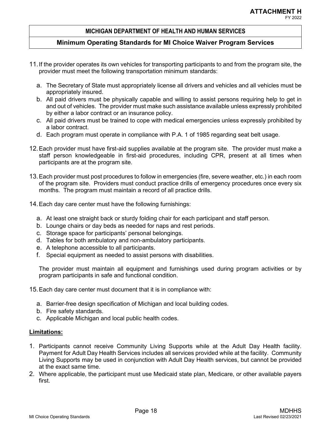# **Minimum Operating Standards for MI Choice Waiver Program Services**

- 11.If the provider operates its own vehicles for transporting participants to and from the program site, the provider must meet the following transportation minimum standards:
	- a. The Secretary of State must appropriately license all drivers and vehicles and all vehicles must be appropriately insured.
	- b. All paid drivers must be physically capable and willing to assist persons requiring help to get in and out of vehicles. The provider must make such assistance available unless expressly prohibited by either a labor contract or an insurance policy.
	- c. All paid drivers must be trained to cope with medical emergencies unless expressly prohibited by a labor contract.
	- d. Each program must operate in compliance with P.A. 1 of 1985 regarding seat belt usage.
- 12.Each provider must have first-aid supplies available at the program site. The provider must make a staff person knowledgeable in first-aid procedures, including CPR, present at all times when participants are at the program site.
- 13.Each provider must post procedures to follow in emergencies (fire, severe weather, etc.) in each room of the program site. Providers must conduct practice drills of emergency procedures once every six months. The program must maintain a record of all practice drills.
- 14.Each day care center must have the following furnishings:
	- a. At least one straight back or sturdy folding chair for each participant and staff person.
	- b. Lounge chairs or day beds as needed for naps and rest periods.
	- c. Storage space for participants' personal belongings.
	- d. Tables for both ambulatory and non-ambulatory participants.
	- e. A telephone accessible to all participants.
	- f. Special equipment as needed to assist persons with disabilities.

The provider must maintain all equipment and furnishings used during program activities or by program participants in safe and functional condition.

15.Each day care center must document that it is in compliance with:

- a. Barrier-free design specification of Michigan and local building codes.
- b. Fire safety standards.
- c. Applicable Michigan and local public health codes.

# **Limitations:**

- 1. Participants cannot receive Community Living Supports while at the Adult Day Health facility. Payment for Adult Day Health Services includes all services provided while at the facility. Community Living Supports may be used in conjunction with Adult Day Health services, but cannot be provided at the exact same time.
- 2. Where applicable, the participant must use Medicaid state plan, Medicare, or other available payers first.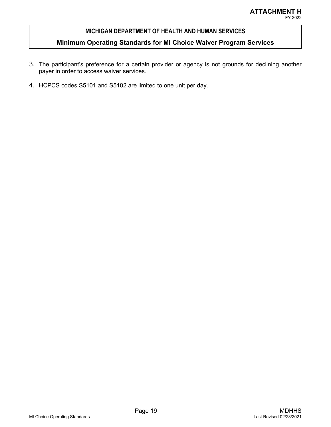- 3. The participant's preference for a certain provider or agency is not grounds for declining another payer in order to access waiver services.
- 4. HCPCS codes S5101 and S5102 are limited to one unit per day.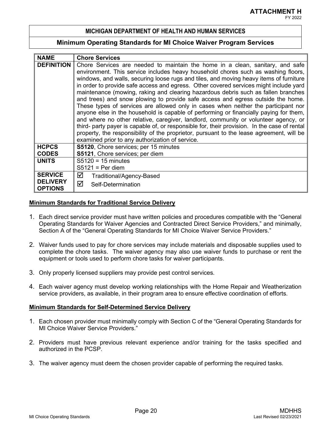#### **Minimum Operating Standards for MI Choice Waiver Program Services**

| <b>NAME</b>                       | <b>Chore Services</b>                                                                                                                                                                                                                                                                                                                                                                                                                                                                                                                                                                                                                                                                                                                                                                                                                                                                                                                                                                                                                              |  |
|-----------------------------------|----------------------------------------------------------------------------------------------------------------------------------------------------------------------------------------------------------------------------------------------------------------------------------------------------------------------------------------------------------------------------------------------------------------------------------------------------------------------------------------------------------------------------------------------------------------------------------------------------------------------------------------------------------------------------------------------------------------------------------------------------------------------------------------------------------------------------------------------------------------------------------------------------------------------------------------------------------------------------------------------------------------------------------------------------|--|
| <b>DEFINITION</b>                 | Chore Services are needed to maintain the home in a clean, sanitary, and safe<br>environment. This service includes heavy household chores such as washing floors,<br>windows, and walls, securing loose rugs and tiles, and moving heavy items of furniture<br>in order to provide safe access and egress. Other covered services might include yard<br>maintenance (mowing, raking and clearing hazardous debris such as fallen branches<br>and trees) and snow plowing to provide safe access and egress outside the home.<br>These types of services are allowed only in cases when neither the participant nor<br>anyone else in the household is capable of performing or financially paying for them,<br>and where no other relative, caregiver, landlord, community or volunteer agency, or<br>third- party payer is capable of, or responsible for, their provision. In the case of rental<br>property, the responsibility of the proprietor, pursuant to the lease agreement, will be<br>examined prior to any authorization of service. |  |
| <b>HCPCS</b>                      | S5120, Chore services; per 15 minutes                                                                                                                                                                                                                                                                                                                                                                                                                                                                                                                                                                                                                                                                                                                                                                                                                                                                                                                                                                                                              |  |
| <b>CODES</b>                      | S5121, Chore services; per diem                                                                                                                                                                                                                                                                                                                                                                                                                                                                                                                                                                                                                                                                                                                                                                                                                                                                                                                                                                                                                    |  |
| <b>UNITS</b>                      | $S5120 = 15$ minutes                                                                                                                                                                                                                                                                                                                                                                                                                                                                                                                                                                                                                                                                                                                                                                                                                                                                                                                                                                                                                               |  |
|                                   | $S5121$ = Per diem                                                                                                                                                                                                                                                                                                                                                                                                                                                                                                                                                                                                                                                                                                                                                                                                                                                                                                                                                                                                                                 |  |
| <b>SERVICE</b>                    | ☑<br>Traditional/Agency-Based                                                                                                                                                                                                                                                                                                                                                                                                                                                                                                                                                                                                                                                                                                                                                                                                                                                                                                                                                                                                                      |  |
| <b>DELIVERY</b><br><b>OPTIONS</b> | ☑<br>Self-Determination                                                                                                                                                                                                                                                                                                                                                                                                                                                                                                                                                                                                                                                                                                                                                                                                                                                                                                                                                                                                                            |  |

#### **Minimum Standards for Traditional Service Delivery**

- 1. Each direct service provider must have written policies and procedures compatible with the "General Operating Standards for Waiver Agencies and Contracted Direct Service Providers," and minimally, Section A of the "General Operating Standards for MI Choice Waiver Service Providers."
- 2. Waiver funds used to pay for chore services may include materials and disposable supplies used to complete the chore tasks. The waiver agency may also use waiver funds to purchase or rent the equipment or tools used to perform chore tasks for waiver participants.
- 3. Only properly licensed suppliers may provide pest control services.
- 4. Each waiver agency must develop working relationships with the Home Repair and Weatherization service providers, as available, in their program area to ensure effective coordination of efforts.

#### **Minimum Standards for Self-Determined Service Delivery**

- 1. Each chosen provider must minimally comply with Section C of the "General Operating Standards for MI Choice Waiver Service Providers."
- 2. Providers must have previous relevant experience and/or training for the tasks specified and authorized in the PCSP.
- 3. The waiver agency must deem the chosen provider capable of performing the required tasks.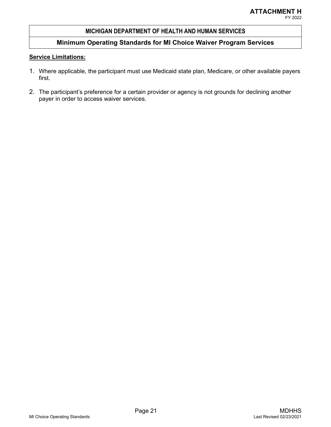# **Minimum Operating Standards for MI Choice Waiver Program Services**

#### **Service Limitations:**

- 1. Where applicable, the participant must use Medicaid state plan, Medicare, or other available payers first.
- 2. The participant's preference for a certain provider or agency is not grounds for declining another payer in order to access waiver services.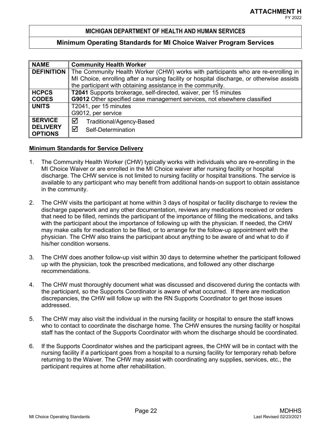#### **Minimum Operating Standards for MI Choice Waiver Program Services**

| <b>NAME</b>                       | <b>Community Health Worker</b>                                                            |  |
|-----------------------------------|-------------------------------------------------------------------------------------------|--|
| <b>DEFINITION</b>                 | The Community Health Worker (CHW) works with participants who are re-enrolling in         |  |
|                                   | MI Choice, enrolling after a nursing facility or hospital discharge, or otherwise assists |  |
|                                   | the participant with obtaining assistance in the community.                               |  |
| <b>HCPCS</b>                      | T2041 Supports brokerage, self-directed, waiver, per 15 minutes                           |  |
| <b>CODES</b>                      | G9012 Other specified case management services, not elsewhere classified                  |  |
| <b>UNITS</b>                      | T2041, per 15 minutes                                                                     |  |
|                                   | G9012, per service                                                                        |  |
| <b>SERVICE</b>                    | ☑<br>Traditional/Agency-Based                                                             |  |
| <b>DELIVERY</b><br><b>OPTIONS</b> | ☑<br>Self-Determination                                                                   |  |

#### **Minimum Standards for Service Delivery**

- 1. The Community Health Worker (CHW) typically works with individuals who are re-enrolling in the MI Choice Waiver or are enrolled in the MI Choice waiver after nursing facility or hospital discharge. The CHW service is not limited to nursing facility or hospital transitions. The service is available to any participant who may benefit from additional hands-on support to obtain assistance in the community.
- 2. The CHW visits the participant at home within 3 days of hospital or facility discharge to review the discharge paperwork and any other documentation, reviews any medications received or orders that need to be filled, reminds the participant of the importance of filling the medications, and talks with the participant about the importance of following up with the physician. If needed, the CHW may make calls for medication to be filled, or to arrange for the follow-up appointment with the physician. The CHW also trains the participant about anything to be aware of and what to do if his/her condition worsens.
- 3. The CHW does another follow-up visit within 30 days to determine whether the participant followed up with the physician, took the prescribed medications, and followed any other discharge recommendations.
- 4. The CHW must thoroughly document what was discussed and discovered during the contacts with the participant, so the Supports Coordinator is aware of what occurred. If there are medication discrepancies, the CHW will follow up with the RN Supports Coordinator to get those issues addressed.
- 5. The CHW may also visit the individual in the nursing facility or hospital to ensure the staff knows who to contact to coordinate the discharge home. The CHW ensures the nursing facility or hospital staff has the contact of the Supports Coordinator with whom the discharge should be coordinated.
- 6. If the Supports Coordinator wishes and the participant agrees, the CHW will be in contact with the nursing facility if a participant goes from a hospital to a nursing facility for temporary rehab before returning to the Waiver. The CHW may assist with coordinating any supplies, services, etc., the participant requires at home after rehabilitation.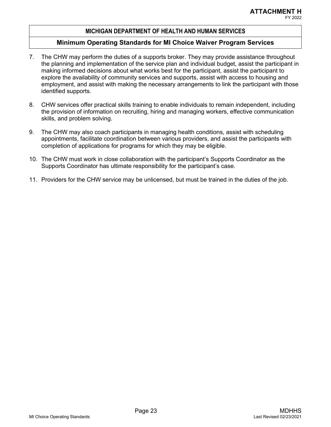- 7. The CHW may perform the duties of a supports broker. They may provide assistance throughout the planning and implementation of the service plan and individual budget, assist the participant in making informed decisions about what works best for the participant, assist the participant to explore the availability of community services and supports, assist with access to housing and employment, and assist with making the necessary arrangements to link the participant with those identified supports.
- 8. CHW services offer practical skills training to enable individuals to remain independent, including the provision of information on recruiting, hiring and managing workers, effective communication skills, and problem solving.
- 9. The CHW may also coach participants in managing health conditions, assist with scheduling appointments, facilitate coordination between various providers, and assist the participants with completion of applications for programs for which they may be eligible.
- 10. The CHW must work in close collaboration with the participant's Supports Coordinator as the Supports Coordinator has ultimate responsibility for the participant's case.
- 11. Providers for the CHW service may be unlicensed, but must be trained in the duties of the job.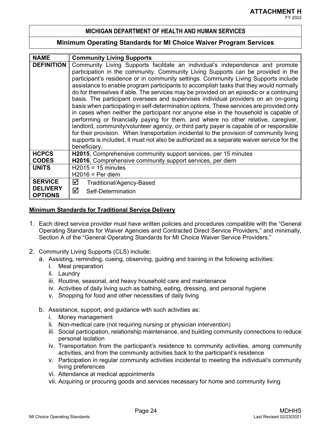#### **Minimum Operating Standards for MI Choice Waiver Program Services**

| <b>NAME</b>                                         | <b>Community Living Supports</b>                                                                                                                                                                                                                                                                                                                                                                                                                                                                                                                                                                                                                                                                                                                                                                                                                                                                                                                                                                                                                                                                                 |  |  |
|-----------------------------------------------------|------------------------------------------------------------------------------------------------------------------------------------------------------------------------------------------------------------------------------------------------------------------------------------------------------------------------------------------------------------------------------------------------------------------------------------------------------------------------------------------------------------------------------------------------------------------------------------------------------------------------------------------------------------------------------------------------------------------------------------------------------------------------------------------------------------------------------------------------------------------------------------------------------------------------------------------------------------------------------------------------------------------------------------------------------------------------------------------------------------------|--|--|
| <b>DEFINITION</b>                                   | Community Living Supports facilitate an individual's independence and promote<br>participation in the community. Community Living Supports can be provided in the<br>participant's residence or in community settings. Community Living Supports include<br>assistance to enable program participants to accomplish tasks that they would normally<br>do for themselves if able. The services may be provided on an episodic or a continuing<br>basis. The participant oversees and supervises individual providers on an on-going<br>basis when participating in self-determination options. These services are provided only<br>in cases when neither the participant nor anyone else in the household is capable of<br>performing or financially paying for them, and where no other relative, caregiver,<br>landlord, community/volunteer agency, or third party payer is capable of or responsible<br>for their provision. When transportation incidental to the provision of community living<br>supports is included, it must not also be authorized as a separate waiver service for the<br>beneficiary. |  |  |
| <b>HCPCS</b><br><b>CODES</b>                        | H2015, Comprehensive community support services, per 15 minutes<br>H2016, Comprehensive community support services, per diem                                                                                                                                                                                                                                                                                                                                                                                                                                                                                                                                                                                                                                                                                                                                                                                                                                                                                                                                                                                     |  |  |
| <b>UNITS</b>                                        | $H2015 = 15$ minutes<br>$H2016 = Per$ diem                                                                                                                                                                                                                                                                                                                                                                                                                                                                                                                                                                                                                                                                                                                                                                                                                                                                                                                                                                                                                                                                       |  |  |
| <b>SERVICE</b><br><b>DELIVERY</b><br><b>OPTIONS</b> | ☑<br>Traditional/Agency-Based<br>☑<br>Self-Determination                                                                                                                                                                                                                                                                                                                                                                                                                                                                                                                                                                                                                                                                                                                                                                                                                                                                                                                                                                                                                                                         |  |  |

#### **Minimum Standards for Traditional Service Delivery**

- 1. Each direct service provider must have written policies and procedures compatible with the "General Operating Standards for Waiver Agencies and Contracted Direct Service Providers," and minimally, Section A of the "General Operating Standards for MI Choice Waiver Service Providers."
- 2. Community Living Supports (CLS) include:
	- a. Assisting, reminding, cueing, observing, guiding and training in the following activities:
		- i. Meal preparation
		- ii. Laundry
		- iii. Routine, seasonal, and heavy household care and maintenance
		- iv. Activities of daily living such as bathing, eating, dressing, and personal hygiene
		- v. Shopping for food and other necessities of daily living
	- b. Assistance, support, and guidance with such activities as:
		- i. Money management
		- ii. Non-medical care (not requiring nursing or physician intervention)
		- iii. Social participation, relationship maintenance, and building community connections to reduce personal isolation
		- iv. Transportation from the participant's residence to community activities, among community activities, and from the community activities back to the participant's residence
		- v. Participation in regular community activities incidental to meeting the individual's community living preferences
		- vi. Attendance at medical appointments
		- vii. Acquiring or procuring goods and services necessary for home and community living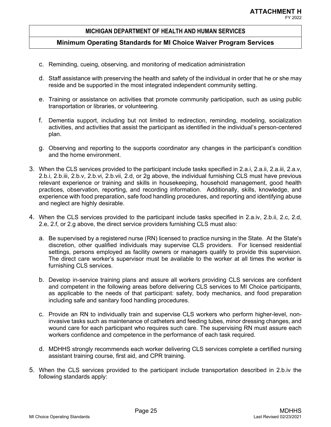- c. Reminding, cueing, observing, and monitoring of medication administration
- d. Staff assistance with preserving the health and safety of the individual in order that he or she may reside and be supported in the most integrated independent community setting.
- e. Training or assistance on activities that promote community participation, such as using public transportation or libraries, or volunteering.
- f. Dementia support, including but not limited to redirection, reminding, modeling, socialization activities, and activities that assist the participant as identified in the individual's person-centered plan.
- g. Observing and reporting to the supports coordinator any changes in the participant's condition and the home environment.
- 3. When the CLS services provided to the participant include tasks specified in 2.a.i, 2.a.ii, 2.a.iii, 2.a.v, 2.b.i, 2.b.iii, 2.b.v, 2.b.vi, 2.b.vii, 2.d, or 2g above, the individual furnishing CLS must have previous relevant experience or training and skills in housekeeping, household management, good health practices, observation, reporting, and recording information. Additionally, skills, knowledge, and experience with food preparation, safe food handling procedures, and reporting and identifying abuse and neglect are highly desirable.
- 4. When the CLS services provided to the participant include tasks specified in 2.a.iv, 2.b.ii, 2.c, 2.d, 2.e, 2.f, or 2.g above, the direct service providers furnishing CLS must also:
	- a. Be supervised by a registered nurse (RN) licensed to practice nursing in the State. At the State's discretion, other qualified individuals may supervise CLS providers. For licensed residential settings, persons employed as facility owners or managers qualify to provide this supervision. The direct care worker's supervisor must be available to the worker at all times the worker is furnishing CLS services.
	- b. Develop in-service training plans and assure all workers providing CLS services are confident and competent in the following areas before delivering CLS services to MI Choice participants, as applicable to the needs of that participant: safety, body mechanics, and food preparation including safe and sanitary food handling procedures.
	- c. Provide an RN to individually train and supervise CLS workers who perform higher-level, noninvasive tasks such as maintenance of catheters and feeding tubes, minor dressing changes, and wound care for each participant who requires such care. The supervising RN must assure each workers confidence and competence in the performance of each task required.
	- d. MDHHS strongly recommends each worker delivering CLS services complete a certified nursing assistant training course, first aid, and CPR training.
- 5. When the CLS services provided to the participant include transportation described in 2.b.iv the following standards apply: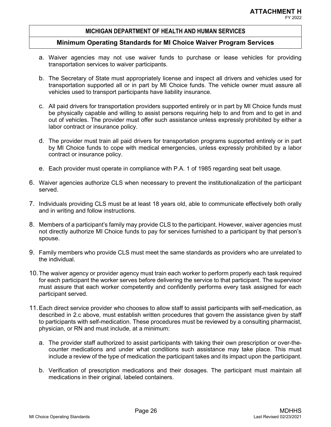- a. Waiver agencies may not use waiver funds to purchase or lease vehicles for providing transportation services to waiver participants.
- b. The Secretary of State must appropriately license and inspect all drivers and vehicles used for transportation supported all or in part by MI Choice funds. The vehicle owner must assure all vehicles used to transport participants have liability insurance.
- c. All paid drivers for transportation providers supported entirely or in part by MI Choice funds must be physically capable and willing to assist persons requiring help to and from and to get in and out of vehicles. The provider must offer such assistance unless expressly prohibited by either a labor contract or insurance policy.
- d. The provider must train all paid drivers for transportation programs supported entirely or in part by MI Choice funds to cope with medical emergencies, unless expressly prohibited by a labor contract or insurance policy.
- e. Each provider must operate in compliance with P.A. 1 of 1985 regarding seat belt usage.
- 6. Waiver agencies authorize CLS when necessary to prevent the institutionalization of the participant served.
- 7. Individuals providing CLS must be at least 18 years old, able to communicate effectively both orally and in writing and follow instructions.
- 8. Members of a participant's family may provide CLS to the participant. However, waiver agencies must not directly authorize MI Choice funds to pay for services furnished to a participant by that person's spouse.
- 9. Family members who provide CLS must meet the same standards as providers who are unrelated to the individual.
- 10.The waiver agency or provider agency must train each worker to perform properly each task required for each participant the worker serves before delivering the service to that participant. The supervisor must assure that each worker competently and confidently performs every task assigned for each participant served.
- 11.Each direct service provider who chooses to allow staff to assist participants with self-medication, as described in 2.c above, must establish written procedures that govern the assistance given by staff to participants with self-medication. These procedures must be reviewed by a consulting pharmacist, physician, or RN and must include, at a minimum:
	- a. The provider staff authorized to assist participants with taking their own prescription or over-thecounter medications and under what conditions such assistance may take place. This must include a review of the type of medication the participant takes and its impact upon the participant.
	- b. Verification of prescription medications and their dosages. The participant must maintain all medications in their original, labeled containers.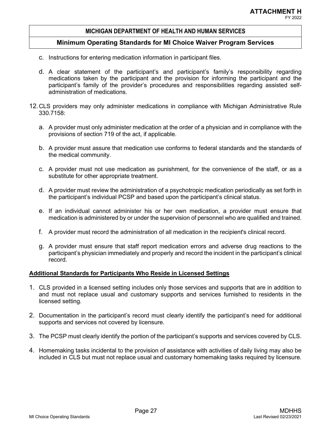#### **Minimum Operating Standards for MI Choice Waiver Program Services**

- c. Instructions for entering medication information in participant files.
- d. A clear statement of the participant's and participant's family's responsibility regarding medications taken by the participant and the provision for informing the participant and the participant's family of the provider's procedures and responsibilities regarding assisted selfadministration of medications.
- 12.CLS providers may only administer medications in compliance with Michigan Administrative Rule 330.7158:
	- a. A provider must only administer medication at the order of a physician and in compliance with the provisions of section 719 of the act, if applicable.
	- b. A provider must assure that medication use conforms to federal standards and the standards of the medical community.
	- c. A provider must not use medication as punishment, for the convenience of the staff, or as a substitute for other appropriate treatment.
	- d. A provider must review the administration of a psychotropic medication periodically as set forth in the participant's individual PCSP and based upon the participant's clinical status.
	- e. If an individual cannot administer his or her own medication, a provider must ensure that medication is administered by or under the supervision of personnel who are qualified and trained.
	- f. A provider must record the administration of all medication in the recipient's clinical record.
	- g. A provider must ensure that staff report medication errors and adverse drug reactions to the participant's physician immediately and properly and record the incident in the participant's clinical record.

#### **Additional Standards for Participants Who Reside in Licensed Settings**

- 1. CLS provided in a licensed setting includes only those services and supports that are in addition to and must not replace usual and customary supports and services furnished to residents in the licensed setting.
- 2. Documentation in the participant's record must clearly identify the participant's need for additional supports and services not covered by licensure.
- 3. The PCSP must clearly identify the portion of the participant's supports and services covered by CLS.
- 4. Homemaking tasks incidental to the provision of assistance with activities of daily living may also be included in CLS but must not replace usual and customary homemaking tasks required by licensure.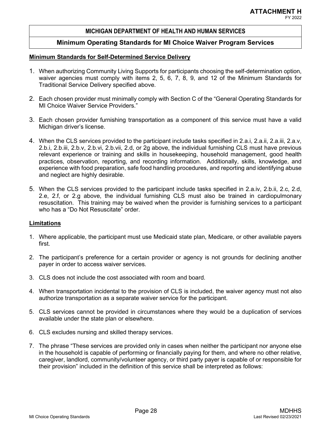# **Minimum Operating Standards for MI Choice Waiver Program Services**

#### **Minimum Standards for Self-Determined Service Delivery**

- 1. When authorizing Community Living Supports for participants choosing the self-determination option, waiver agencies must comply with items 2, 5, 6, 7, 8, 9, and 12 of the Minimum Standards for Traditional Service Delivery specified above.
- 2. Each chosen provider must minimally comply with Section C of the "General Operating Standards for MI Choice Waiver Service Providers."
- 3. Each chosen provider furnishing transportation as a component of this service must have a valid Michigan driver's license.
- 4. When the CLS services provided to the participant include tasks specified in 2.a.i, 2.a.ii, 2.a.iii, 2.a.v, 2.b.i, 2.b.iii, 2.b.v, 2.b.vi, 2.b.vii, 2.d, or 2g above, the individual furnishing CLS must have previous relevant experience or training and skills in housekeeping, household management, good health practices, observation, reporting, and recording information. Additionally, skills, knowledge, and experience with food preparation, safe food handling procedures, and reporting and identifying abuse and neglect are highly desirable.
- 5. When the CLS services provided to the participant include tasks specified in 2.a.iv, 2.b.ii, 2.c, 2.d, 2.e, 2.f, or 2.g above, the individual furnishing CLS must also be trained in cardiopulmonary resuscitation. This training may be waived when the provider is furnishing services to a participant who has a "Do Not Resuscitate" order.

#### **Limitations**

- 1. Where applicable, the participant must use Medicaid state plan, Medicare, or other available payers first.
- 2. The participant's preference for a certain provider or agency is not grounds for declining another payer in order to access waiver services.
- 3. CLS does not include the cost associated with room and board.
- 4. When transportation incidental to the provision of CLS is included, the waiver agency must not also authorize transportation as a separate waiver service for the participant.
- 5. CLS services cannot be provided in circumstances where they would be a duplication of services available under the state plan or elsewhere.
- 6. CLS excludes nursing and skilled therapy services.
- 7. The phrase "These services are provided only in cases when neither the participant nor anyone else in the household is capable of performing or financially paying for them, and where no other relative, caregiver, landlord, community/volunteer agency, or third party payer is capable of or responsible for their provision" included in the definition of this service shall be interpreted as follows: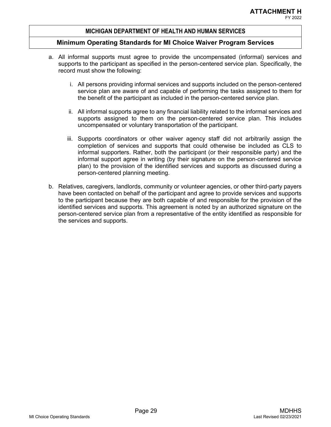- a. All informal supports must agree to provide the uncompensated (informal) services and supports to the participant as specified in the person-centered service plan. Specifically, the record must show the following:
	- i. All persons providing informal services and supports included on the person-centered service plan are aware of and capable of performing the tasks assigned to them for the benefit of the participant as included in the person-centered service plan.
	- ii. All informal supports agree to any financial liability related to the informal services and supports assigned to them on the person-centered service plan. This includes uncompensated or voluntary transportation of the participant.
	- iii. Supports coordinators or other waiver agency staff did not arbitrarily assign the completion of services and supports that could otherwise be included as CLS to informal supporters. Rather, both the participant (or their responsible party) and the informal support agree in writing (by their signature on the person-centered service plan) to the provision of the identified services and supports as discussed during a person-centered planning meeting.
- b. Relatives, caregivers, landlords, community or volunteer agencies, or other third-party payers have been contacted on behalf of the participant and agree to provide services and supports to the participant because they are both capable of and responsible for the provision of the identified services and supports. This agreement is noted by an authorized signature on the person-centered service plan from a representative of the entity identified as responsible for the services and supports.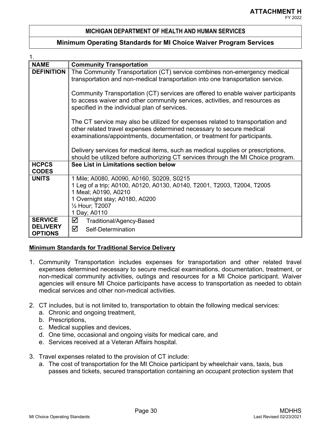### **Minimum Operating Standards for MI Choice Waiver Program Services**

| <b>NAME</b>                                         | <b>Community Transportation</b>                                                                                                                                                                                                    |  |
|-----------------------------------------------------|------------------------------------------------------------------------------------------------------------------------------------------------------------------------------------------------------------------------------------|--|
| <b>DEFINITION</b>                                   | The Community Transportation (CT) service combines non-emergency medical<br>transportation and non-medical transportation into one transportation service.                                                                         |  |
|                                                     | Community Transportation (CT) services are offered to enable waiver participants<br>to access waiver and other community services, activities, and resources as<br>specified in the individual plan of services.                   |  |
|                                                     | The CT service may also be utilized for expenses related to transportation and<br>other related travel expenses determined necessary to secure medical<br>examinations/appointments, documentation, or treatment for participants. |  |
|                                                     | Delivery services for medical items, such as medical supplies or prescriptions,<br>should be utilized before authorizing CT services through the MI Choice program.                                                                |  |
| <b>HCPCS</b><br><b>CODES</b>                        | See List in Limitations section below                                                                                                                                                                                              |  |
| <b>UNITS</b>                                        | 1 Mile; A0080, A0090, A0160, S0209, S0215<br>1 Leg of a trip; A0100, A0120, A0130, A0140, T2001, T2003, T2004, T2005<br>1 Meal; A0190, A0210<br>1 Overnight stay; A0180, A0200<br>1/2 Hour; T2007<br>1 Day; A0110                  |  |
| <b>SERVICE</b><br><b>DELIVERY</b><br><b>OPTIONS</b> | ☑<br>Traditional/Agency-Based<br>☑<br>Self-Determination                                                                                                                                                                           |  |

#### **Minimum Standards for Traditional Service Delivery**

- 1. Community Transportation includes expenses for transportation and other related travel expenses determined necessary to secure medical examinations, documentation, treatment, or non-medical community activities, outings and resources for a MI Choice participant. Waiver agencies will ensure MI Choice participants have access to transportation as needed to obtain medical services and other non-medical activities.
- 2. CT includes, but is not limited to, transportation to obtain the following medical services:
	- a. Chronic and ongoing treatment,
	- b. Prescriptions,
	- c. Medical supplies and devices,
	- d. One time, occasional and ongoing visits for medical care, and
	- e. Services received at a Veteran Affairs hospital.
- 3. Travel expenses related to the provision of CT include:
	- a. The cost of transportation for the MI Choice participant by wheelchair vans, taxis, bus passes and tickets, secured transportation containing an occupant protection system that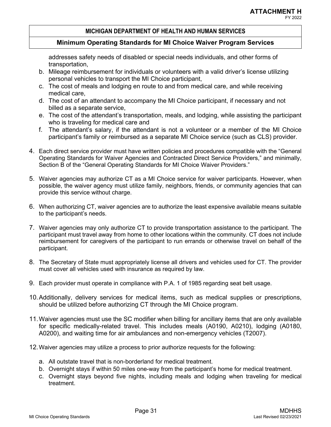# **Minimum Operating Standards for MI Choice Waiver Program Services**

addresses safety needs of disabled or special needs individuals, and other forms of transportation,

- b. Mileage reimbursement for individuals or volunteers with a valid driver's license utilizing personal vehicles to transport the MI Choice participant,
- c. The cost of meals and lodging en route to and from medical care, and while receiving medical care,
- d. The cost of an attendant to accompany the MI Choice participant, if necessary and not billed as a separate service,
- e. The cost of the attendant's transportation, meals, and lodging, while assisting the participant who is traveling for medical care and
- f. The attendant's salary, if the attendant is not a volunteer or a member of the MI Choice participant's family or reimbursed as a separate MI Choice service (such as CLS) provider.
- 4. Each direct service provider must have written policies and procedures compatible with the "General Operating Standards for Waiver Agencies and Contracted Direct Service Providers," and minimally, Section B of the "General Operating Standards for MI Choice Waiver Providers."
- 5. Waiver agencies may authorize CT as a MI Choice service for waiver participants. However, when possible, the waiver agency must utilize family, neighbors, friends, or community agencies that can provide this service without charge.
- 6. When authorizing CT, waiver agencies are to authorize the least expensive available means suitable to the participant's needs.
- 7. Waiver agencies may only authorize CT to provide transportation assistance to the participant. The participant must travel away from home to other locations within the community. CT does not include reimbursement for caregivers of the participant to run errands or otherwise travel on behalf of the participant.
- 8. The Secretary of State must appropriately license all drivers and vehicles used for CT. The provider must cover all vehicles used with insurance as required by law.
- 9. Each provider must operate in compliance with P.A. 1 of 1985 regarding seat belt usage.
- 10.Additionally, delivery services for medical items, such as medical supplies or prescriptions, should be utilized before authorizing CT through the MI Choice program.
- 11.Waiver agencies must use the SC modifier when billing for ancillary items that are only available for specific medically-related travel. This includes meals (A0190, A0210), lodging (A0180, A0200), and waiting time for air ambulances and non-emergency vehicles (T2007).
- 12.Waiver agencies may utilize a process to prior authorize requests for the following:
	- a. All outstate travel that is non-borderland for medical treatment.
	- b. Overnight stays if within 50 miles one-way from the participant's home for medical treatment.
	- c. Overnight stays beyond five nights, including meals and lodging when traveling for medical treatment.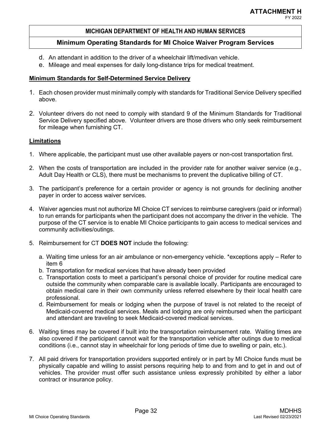# **Minimum Operating Standards for MI Choice Waiver Program Services**

- d. An attendant in addition to the driver of a wheelchair lift/medivan vehicle.
- e. Mileage and meal expenses for daily long-distance trips for medical treatment.

# **Minimum Standards for Self-Determined Service Delivery**

- 1. Each chosen provider must minimally comply with standards for Traditional Service Delivery specified above.
- 2. Volunteer drivers do not need to comply with standard 9 of the Minimum Standards for Traditional Service Delivery specified above. Volunteer drivers are those drivers who only seek reimbursement for mileage when furnishing CT.

#### **Limitations**

- 1. Where applicable, the participant must use other available payers or non-cost transportation first.
- 2. When the costs of transportation are included in the provider rate for another waiver service (e.g., Adult Day Health or CLS), there must be mechanisms to prevent the duplicative billing of CT.
- 3. The participant's preference for a certain provider or agency is not grounds for declining another payer in order to access waiver services.
- 4. Waiver agencies must not authorize MI Choice CT services to reimburse caregivers (paid or informal) to run errands for participants when the participant does not accompany the driver in the vehicle. The purpose of the CT service is to enable MI Choice participants to gain access to medical services and community activities/outings.
- 5. Reimbursement for CT **DOES NOT** include the following:
	- a. Waiting time unless for an air ambulance or non-emergency vehicle. \*exceptions apply Refer to item 6
	- b. Transportation for medical services that have already been provided
	- c. Transportation costs to meet a participant's personal choice of provider for routine medical care outside the community when comparable care is available locally. Participants are encouraged to obtain medical care in their own community unless referred elsewhere by their local health care professional.
	- d. Reimbursement for meals or lodging when the purpose of travel is not related to the receipt of Medicaid-covered medical services. Meals and lodging are only reimbursed when the participant and attendant are traveling to seek Medicaid-covered medical services.
- 6. Waiting times may be covered if built into the transportation reimbursement rate. Waiting times are also covered if the participant cannot wait for the transportation vehicle after outings due to medical conditions (i.e., cannot stay in wheelchair for long periods of time due to swelling or pain, etc.).
- 7. All paid drivers for transportation providers supported entirely or in part by MI Choice funds must be physically capable and willing to assist persons requiring help to and from and to get in and out of vehicles. The provider must offer such assistance unless expressly prohibited by either a labor contract or insurance policy.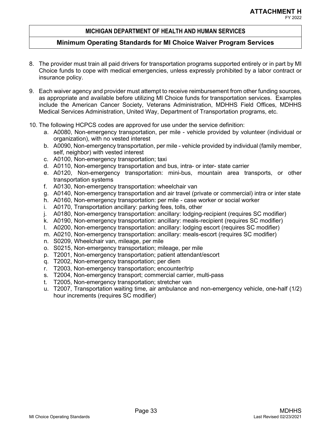- 8. The provider must train all paid drivers for transportation programs supported entirely or in part by MI Choice funds to cope with medical emergencies, unless expressly prohibited by a labor contract or insurance policy.
- 9. Each waiver agency and provider must attempt to receive reimbursement from other funding sources, as appropriate and available before utilizing MI Choice funds for transportation services. Examples include the American Cancer Society, Veterans Administration, MDHHS Field Offices, MDHHS Medical Services Administration, United Way, Department of Transportation programs, etc.
- 10. The following HCPCS codes are approved for use under the service definition:
	- a. A0080, Non-emergency transportation, per mile vehicle provided by volunteer (individual or organization), with no vested interest
	- b. A0090, Non-emergency transportation, per mile vehicle provided by individual (family member, self, neighbor) with vested interest
	- c. A0100, Non-emergency transportation; taxi
	- d. A0110, Non-emergency transportation and bus, intra- or inter- state carrier
	- e. A0120, Non-emergency transportation: mini-bus, mountain area transports, or other transportation systems
	- f. A0130, Non-emergency transportation: wheelchair van
	- g. A0140, Non-emergency transportation and air travel (private or commercial) intra or inter state
	- h. A0160, Non-emergency transportation: per mile case worker or social worker
	- i. A0170, Transportation ancillary: parking fees, tolls, other
	- j. A0180, Non-emergency transportation: ancillary: lodging-recipient (requires SC modifier)
	- k. A0190, Non-emergency transportation: ancillary: meals-recipient (requires SC modifier)
	- l. A0200, Non-emergency transportation: ancillary: lodging escort (requires SC modifier)
	- m. A0210, Non-emergency transportation: ancillary: meals-escort (requires SC modifier)
	- n. S0209, Wheelchair van, mileage, per mile
	- o. S0215, Non-emergency transportation; mileage, per mile
	- p. T2001, Non-emergency transportation; patient attendant/escort
	- q. T2002, Non-emergency transportation; per diem
	- r. T2003, Non-emergency transportation; encounter/trip
	- s. T2004, Non-emergency transport; commercial carrier, multi-pass
	- t. T2005, Non-emergency transportation; stretcher van
	- u. T2007, Transportation waiting time, air ambulance and non-emergency vehicle, one-half (1/2) hour increments (requires SC modifier)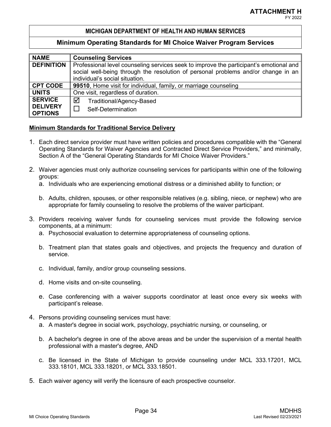## **Minimum Operating Standards for MI Choice Waiver Program Services**

| <b>NAME</b>       | <b>Counseling Services</b>                                                             |  |  |
|-------------------|----------------------------------------------------------------------------------------|--|--|
| <b>DEFINITION</b> | Professional level counseling services seek to improve the participant's emotional and |  |  |
|                   | social well-being through the resolution of personal problems and/or change in an      |  |  |
|                   | individual's social situation.                                                         |  |  |
| <b>CPT CODE</b>   | 99510, Home visit for individual, family, or marriage counseling                       |  |  |
| <b>UNITS</b>      | One visit, regardless of duration.                                                     |  |  |
| <b>SERVICE</b>    | ☑<br>Traditional/Agency-Based                                                          |  |  |
| <b>DELIVERY</b>   | Self-Determination                                                                     |  |  |
| <b>OPTIONS</b>    |                                                                                        |  |  |

- 1. Each direct service provider must have written policies and procedures compatible with the "General Operating Standards for Waiver Agencies and Contracted Direct Service Providers," and minimally, Section A of the "General Operating Standards for MI Choice Waiver Providers."
- 2. Waiver agencies must only authorize counseling services for participants within one of the following groups:
	- a. Individuals who are experiencing emotional distress or a diminished ability to function; or
	- b. Adults, children, spouses, or other responsible relatives (e.g. sibling, niece, or nephew) who are appropriate for family counseling to resolve the problems of the waiver participant.
- 3. Providers receiving waiver funds for counseling services must provide the following service components, at a minimum:
	- a. Psychosocial evaluation to determine appropriateness of counseling options.
	- b. Treatment plan that states goals and objectives, and projects the frequency and duration of service.
	- c. Individual, family, and/or group counseling sessions.
	- d. Home visits and on-site counseling.
	- e. Case conferencing with a waiver supports coordinator at least once every six weeks with participant's release.
- 4. Persons providing counseling services must have:
	- a. A master's degree in social work, psychology, psychiatric nursing, or counseling, or
	- b. A bachelor's degree in one of the above areas and be under the supervision of a mental health professional with a master's degree, AND
	- c. Be licensed in the State of Michigan to provide counseling under MCL 333.17201, MCL 333.18101, MCL 333.18201, or MCL 333.18501.
- 5. Each waiver agency will verify the licensure of each prospective counselor.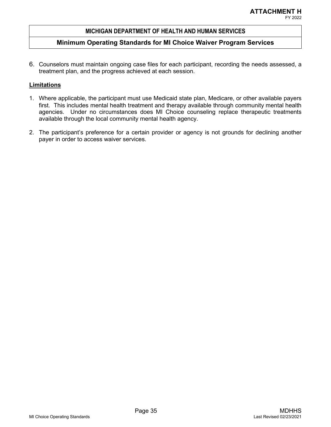## **Minimum Operating Standards for MI Choice Waiver Program Services**

6. Counselors must maintain ongoing case files for each participant, recording the needs assessed, a treatment plan, and the progress achieved at each session.

- 1. Where applicable, the participant must use Medicaid state plan, Medicare, or other available payers first. This includes mental health treatment and therapy available through community mental health agencies. Under no circumstances does MI Choice counseling replace therapeutic treatments available through the local community mental health agency.
- 2. The participant's preference for a certain provider or agency is not grounds for declining another payer in order to access waiver services.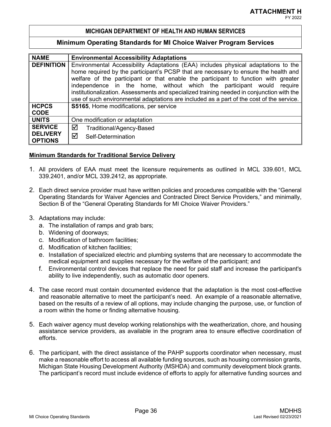### **Minimum Operating Standards for MI Choice Waiver Program Services**

| <b>NAME</b>                       | <b>Environmental Accessibility Adaptations</b>                                            |  |  |  |  |
|-----------------------------------|-------------------------------------------------------------------------------------------|--|--|--|--|
| <b>DEFINITION</b>                 | Environmental Accessibility Adaptations (EAA) includes physical adaptations to the        |  |  |  |  |
|                                   | home required by the participant's PCSP that are necessary to ensure the health and       |  |  |  |  |
|                                   | welfare of the participant or that enable the participant to function with greater        |  |  |  |  |
|                                   | independence in the home, without which the participant would require                     |  |  |  |  |
|                                   | institutionalization. Assessments and specialized training needed in conjunction with the |  |  |  |  |
|                                   | use of such environmental adaptations are included as a part of the cost of the service.  |  |  |  |  |
| <b>HCPCS</b>                      | S5165, Home modifications, per service                                                    |  |  |  |  |
| <b>CODE</b>                       |                                                                                           |  |  |  |  |
| <b>UNITS</b>                      | One modification or adaptation                                                            |  |  |  |  |
| <b>SERVICE</b>                    | ☑<br>Traditional/Agency-Based                                                             |  |  |  |  |
| <b>DELIVERY</b><br><b>OPTIONS</b> | ☑<br>Self-Determination                                                                   |  |  |  |  |

- 1. All providers of EAA must meet the licensure requirements as outlined in MCL 339.601, MCL 339.2401, and/or MCL 339.2412, as appropriate.
- 2. Each direct service provider must have written policies and procedures compatible with the "General Operating Standards for Waiver Agencies and Contracted Direct Service Providers," and minimally, Section B of the "General Operating Standards for MI Choice Waiver Providers."
- 3. Adaptations may include:
	- a. The installation of ramps and grab bars;
	- b. Widening of doorways;
	- c. Modification of bathroom facilities;
	- d. Modification of kitchen facilities;
	- e. Installation of specialized electric and plumbing systems that are necessary to accommodate the medical equipment and supplies necessary for the welfare of the participant; and
	- f. Environmental control devices that replace the need for paid staff and increase the participant's ability to live independently, such as automatic door openers.
- 4. The case record must contain documented evidence that the adaptation is the most cost-effective and reasonable alternative to meet the participant's need. An example of a reasonable alternative, based on the results of a review of all options, may include changing the purpose, use, or function of a room within the home or finding alternative housing.
- 5. Each waiver agency must develop working relationships with the weatherization, chore, and housing assistance service providers, as available in the program area to ensure effective coordination of efforts.
- 6. The participant, with the direct assistance of the PAHP supports coordinator when necessary, must make a reasonable effort to access all available funding sources, such as housing commission grants, Michigan State Housing Development Authority (MSHDA) and community development block grants. The participant's record must include evidence of efforts to apply for alternative funding sources and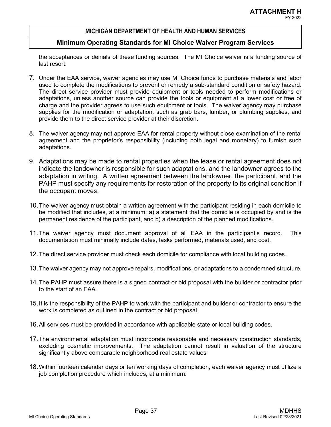## **Minimum Operating Standards for MI Choice Waiver Program Services**

the acceptances or denials of these funding sources. The MI Choice waiver is a funding source of last resort.

- 7. Under the EAA service, waiver agencies may use MI Choice funds to purchase materials and labor used to complete the modifications to prevent or remedy a sub-standard condition or safety hazard. The direct service provider must provide equipment or tools needed to perform modifications or adaptations, unless another source can provide the tools or equipment at a lower cost or free of charge and the provider agrees to use such equipment or tools. The waiver agency may purchase supplies for the modification or adaptation, such as grab bars, lumber, or plumbing supplies, and provide them to the direct service provider at their discretion.
- 8. The waiver agency may not approve EAA for rental property without close examination of the rental agreement and the proprietor's responsibility (including both legal and monetary) to furnish such adaptations.
- 9. Adaptations may be made to rental properties when the lease or rental agreement does not indicate the landowner is responsible for such adaptations, and the landowner agrees to the adaptation in writing. A written agreement between the landowner, the participant, and the PAHP must specify any requirements for restoration of the property to its original condition if the occupant moves.
- 10.The waiver agency must obtain a written agreement with the participant residing in each domicile to be modified that includes, at a minimum; a) a statement that the domicile is occupied by and is the permanent residence of the participant, and b) a description of the planned modifications.
- 11.The waiver agency must document approval of all EAA in the participant's record. This documentation must minimally include dates, tasks performed, materials used, and cost.
- 12.The direct service provider must check each domicile for compliance with local building codes.
- 13.The waiver agency may not approve repairs, modifications, or adaptations to a condemned structure.
- 14.The PAHP must assure there is a signed contract or bid proposal with the builder or contractor prior to the start of an EAA.
- 15.It is the responsibility of the PAHP to work with the participant and builder or contractor to ensure the work is completed as outlined in the contract or bid proposal.
- 16.All services must be provided in accordance with applicable state or local building codes.
- 17.The environmental adaptation must incorporate reasonable and necessary construction standards, excluding cosmetic improvements. The adaptation cannot result in valuation of the structure significantly above comparable neighborhood real estate values
- 18.Within fourteen calendar days or ten working days of completion, each waiver agency must utilize a job completion procedure which includes, at a minimum: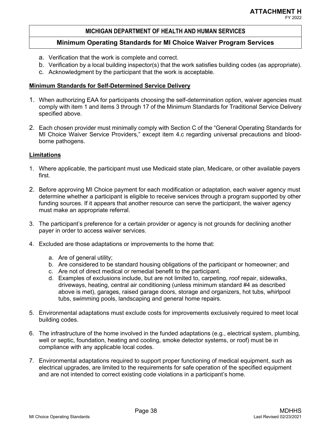# **Minimum Operating Standards for MI Choice Waiver Program Services**

- a. Verification that the work is complete and correct.
- b. Verification by a local building inspector(s) that the work satisfies building codes (as appropriate).
- c. Acknowledgment by the participant that the work is acceptable.

# **Minimum Standards for Self-Determined Service Delivery**

- 1. When authorizing EAA for participants choosing the self-determination option, waiver agencies must comply with item 1 and items 3 through 17 of the Minimum Standards for Traditional Service Delivery specified above.
- 2. Each chosen provider must minimally comply with Section C of the "General Operating Standards for MI Choice Waiver Service Providers," except item 4.c regarding universal precautions and bloodborne pathogens.

- 1. Where applicable, the participant must use Medicaid state plan, Medicare, or other available payers first.
- 2. Before approving MI Choice payment for each modification or adaptation, each waiver agency must determine whether a participant is eligible to receive services through a program supported by other funding sources. If it appears that another resource can serve the participant, the waiver agency must make an appropriate referral.
- 3. The participant's preference for a certain provider or agency is not grounds for declining another payer in order to access waiver services.
- 4. Excluded are those adaptations or improvements to the home that:
	- a. Are of general utility;
	- b. Are considered to be standard housing obligations of the participant or homeowner; and
	- c. Are not of direct medical or remedial benefit to the participant.
	- d. Examples of exclusions include, but are not limited to, carpeting, roof repair, sidewalks, driveways, heating, central air conditioning (unless minimum standard #4 as described above is met), garages, raised garage doors, storage and organizers, hot tubs, whirlpool tubs, swimming pools, landscaping and general home repairs.
- 5. Environmental adaptations must exclude costs for improvements exclusively required to meet local building codes.
- 6. The infrastructure of the home involved in the funded adaptations (e.g., electrical system, plumbing, well or septic, foundation, heating and cooling, smoke detector systems, or roof) must be in compliance with any applicable local codes.
- 7. Environmental adaptations required to support proper functioning of medical equipment, such as electrical upgrades, are limited to the requirements for safe operation of the specified equipment and are not intended to correct existing code violations in a participant's home.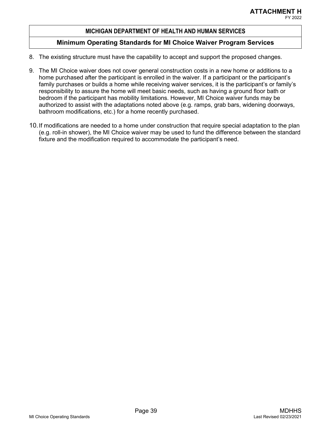- 8. The existing structure must have the capability to accept and support the proposed changes.
- 9. The MI Choice waiver does not cover general construction costs in a new home or additions to a home purchased after the participant is enrolled in the waiver. If a participant or the participant's family purchases or builds a home while receiving waiver services, it is the participant's or family's responsibility to assure the home will meet basic needs, such as having a ground floor bath or bedroom if the participant has mobility limitations. However, MI Choice waiver funds may be authorized to assist with the adaptations noted above (e.g. ramps, grab bars, widening doorways, bathroom modifications, etc.) for a home recently purchased.
- 10.If modifications are needed to a home under construction that require special adaptation to the plan (e.g. roll-in shower), the MI Choice waiver may be used to fund the difference between the standard fixture and the modification required to accommodate the participant's need.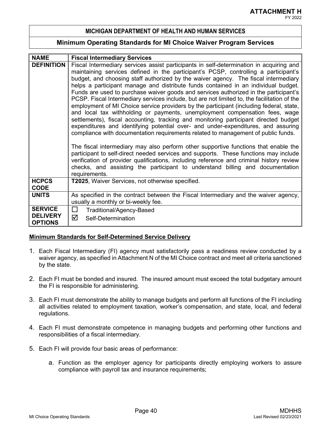#### **Minimum Operating Standards for MI Choice Waiver Program Services**

| <b>DEFINITION</b><br>Fiscal Intermediary services assist participants in self-determination in acquiring and  <br>maintaining services defined in the participant's PCSP, controlling a participant's<br>budget, and choosing staff authorized by the waiver agency. The fiscal intermediary<br>helps a participant manage and distribute funds contained in an individual budget.<br>Funds are used to purchase waiver goods and services authorized in the participant's<br>PCSP. Fiscal Intermediary services include, but are not limited to, the facilitation of the |                                                                                                                                                                             |  |  |  |
|---------------------------------------------------------------------------------------------------------------------------------------------------------------------------------------------------------------------------------------------------------------------------------------------------------------------------------------------------------------------------------------------------------------------------------------------------------------------------------------------------------------------------------------------------------------------------|-----------------------------------------------------------------------------------------------------------------------------------------------------------------------------|--|--|--|
|                                                                                                                                                                                                                                                                                                                                                                                                                                                                                                                                                                           |                                                                                                                                                                             |  |  |  |
|                                                                                                                                                                                                                                                                                                                                                                                                                                                                                                                                                                           |                                                                                                                                                                             |  |  |  |
|                                                                                                                                                                                                                                                                                                                                                                                                                                                                                                                                                                           |                                                                                                                                                                             |  |  |  |
|                                                                                                                                                                                                                                                                                                                                                                                                                                                                                                                                                                           |                                                                                                                                                                             |  |  |  |
|                                                                                                                                                                                                                                                                                                                                                                                                                                                                                                                                                                           |                                                                                                                                                                             |  |  |  |
|                                                                                                                                                                                                                                                                                                                                                                                                                                                                                                                                                                           |                                                                                                                                                                             |  |  |  |
| employment of MI Choice service providers by the participant (including federal, state,                                                                                                                                                                                                                                                                                                                                                                                                                                                                                   |                                                                                                                                                                             |  |  |  |
| and local tax withholding or payments, unemployment compensation fees, wage                                                                                                                                                                                                                                                                                                                                                                                                                                                                                               |                                                                                                                                                                             |  |  |  |
| settlements), fiscal accounting, tracking and monitoring participant directed budget                                                                                                                                                                                                                                                                                                                                                                                                                                                                                      |                                                                                                                                                                             |  |  |  |
| expenditures and identifying potential over- and under-expenditures, and assuring                                                                                                                                                                                                                                                                                                                                                                                                                                                                                         |                                                                                                                                                                             |  |  |  |
|                                                                                                                                                                                                                                                                                                                                                                                                                                                                                                                                                                           | compliance with documentation requirements related to management of public funds.                                                                                           |  |  |  |
|                                                                                                                                                                                                                                                                                                                                                                                                                                                                                                                                                                           |                                                                                                                                                                             |  |  |  |
|                                                                                                                                                                                                                                                                                                                                                                                                                                                                                                                                                                           | The fiscal intermediary may also perform other supportive functions that enable the<br>participant to self-direct needed services and supports. These functions may include |  |  |  |
|                                                                                                                                                                                                                                                                                                                                                                                                                                                                                                                                                                           | verification of provider qualifications, including reference and criminal history review                                                                                    |  |  |  |
|                                                                                                                                                                                                                                                                                                                                                                                                                                                                                                                                                                           | checks, and assisting the participant to understand billing and documentation                                                                                               |  |  |  |
| requirements.                                                                                                                                                                                                                                                                                                                                                                                                                                                                                                                                                             |                                                                                                                                                                             |  |  |  |
| <b>HCPCS</b><br>T2025, Waiver Services, not otherwise specified.                                                                                                                                                                                                                                                                                                                                                                                                                                                                                                          |                                                                                                                                                                             |  |  |  |
| <b>CODE</b>                                                                                                                                                                                                                                                                                                                                                                                                                                                                                                                                                               |                                                                                                                                                                             |  |  |  |
| <b>UNITS</b><br>As specified in the contract between the Fiscal Intermediary and the waiver agency,                                                                                                                                                                                                                                                                                                                                                                                                                                                                       |                                                                                                                                                                             |  |  |  |
| usually a monthly or bi-weekly fee.                                                                                                                                                                                                                                                                                                                                                                                                                                                                                                                                       |                                                                                                                                                                             |  |  |  |
| <b>SERVICE</b><br>$\Box$                                                                                                                                                                                                                                                                                                                                                                                                                                                                                                                                                  |                                                                                                                                                                             |  |  |  |
| Traditional/Agency-Based<br><b>DELIVERY</b>                                                                                                                                                                                                                                                                                                                                                                                                                                                                                                                               |                                                                                                                                                                             |  |  |  |
| ☑<br>Self-Determination<br><b>OPTIONS</b>                                                                                                                                                                                                                                                                                                                                                                                                                                                                                                                                 |                                                                                                                                                                             |  |  |  |

#### **Minimum Standards for Self-Determined Service Delivery**

- 1. Each Fiscal Intermediary (FI) agency must satisfactorily pass a readiness review conducted by a waiver agency, as specified in Attachment N of the MI Choice contract and meet all criteria sanctioned by the state.
- 2. Each FI must be bonded and insured. The insured amount must exceed the total budgetary amount the FI is responsible for administering.
- 3. Each FI must demonstrate the ability to manage budgets and perform all functions of the FI including all activities related to employment taxation, worker's compensation, and state, local, and federal regulations.
- 4. Each FI must demonstrate competence in managing budgets and performing other functions and responsibilities of a fiscal intermediary.
- 5. Each FI will provide four basic areas of performance:
	- a. Function as the employer agency for participants directly employing workers to assure compliance with payroll tax and insurance requirements;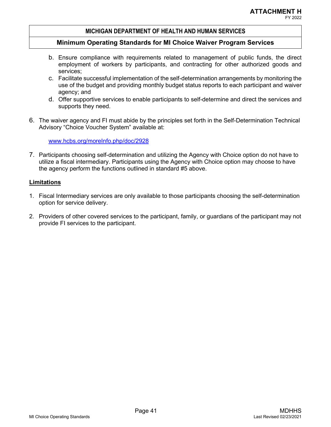# FY 2022

## **MICHIGAN DEPARTMENT OF HEALTH AND HUMAN SERVICES**

## **Minimum Operating Standards for MI Choice Waiver Program Services**

- b. Ensure compliance with requirements related to management of public funds, the direct employment of workers by participants, and contracting for other authorized goods and services;
- c. Facilitate successful implementation of the self-determination arrangements by monitoring the use of the budget and providing monthly budget status reports to each participant and waiver agency; and
- d. Offer supportive services to enable participants to self-determine and direct the services and supports they need.
- 6. The waiver agency and FI must abide by the principles set forth in the Self-Determination Technical Advisory "Choice Voucher System" available at:

www.hcbs.org/moreInfo.php/doc/2928

7. Participants choosing self-determination and utilizing the Agency with Choice option do not have to utilize a fiscal intermediary. Participants using the Agency with Choice option may choose to have the agency perform the functions outlined in standard #5 above.

- 1. Fiscal Intermediary services are only available to those participants choosing the self-determination option for service delivery.
- 2. Providers of other covered services to the participant, family, or guardians of the participant may not provide FI services to the participant.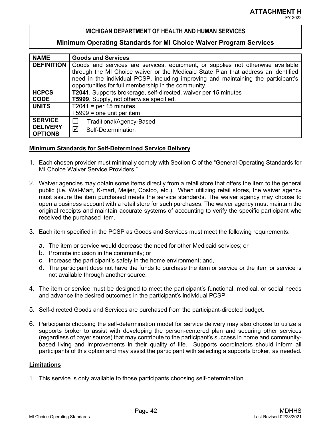## **Minimum Operating Standards for MI Choice Waiver Program Services**

| <b>NAME</b>                       | <b>Goods and Services</b>                                                          |  |  |  |
|-----------------------------------|------------------------------------------------------------------------------------|--|--|--|
| <b>DEFINITION</b>                 | Goods and services are services, equipment, or supplies not otherwise available    |  |  |  |
|                                   | through the MI Choice waiver or the Medicaid State Plan that address an identified |  |  |  |
|                                   | need in the individual PCSP, including improving and maintaining the participant's |  |  |  |
|                                   | opportunities for full membership in the community.                                |  |  |  |
| <b>HCPCS</b>                      | T2041, Supports brokerage, self-directed, waiver per 15 minutes                    |  |  |  |
| <b>CODE</b>                       | T5999, Supply, not otherwise specified.                                            |  |  |  |
| <b>UNITS</b>                      | $T2041$ = per 15 minutes                                                           |  |  |  |
|                                   | $T5999$ = one unit per item                                                        |  |  |  |
| <b>SERVICE</b>                    | Traditional/Agency-Based                                                           |  |  |  |
| <b>DELIVERY</b><br><b>OPTIONS</b> | ☑<br>Self-Determination                                                            |  |  |  |

#### **Minimum Standards for Self-Determined Service Delivery**

- 1. Each chosen provider must minimally comply with Section C of the "General Operating Standards for MI Choice Waiver Service Providers."
- 2. Waiver agencies may obtain some items directly from a retail store that offers the item to the general public (i.e. Wal-Mart, K-mart, Meijer, Costco, etc.). When utilizing retail stores, the waiver agency must assure the item purchased meets the service standards. The waiver agency may choose to open a business account with a retail store for such purchases. The waiver agency must maintain the original receipts and maintain accurate systems of accounting to verify the specific participant who received the purchased item.
- 3. Each item specified in the PCSP as Goods and Services must meet the following requirements:
	- a. The item or service would decrease the need for other Medicaid services; or
	- b. Promote inclusion in the community; or
	- c. Increase the participant's safety in the home environment; and,
	- d. The participant does not have the funds to purchase the item or service or the item or service is not available through another source.
- 4. The item or service must be designed to meet the participant's functional, medical, or social needs and advance the desired outcomes in the participant's individual PCSP.
- 5. Self-directed Goods and Services are purchased from the participant-directed budget.
- 6. Participants choosing the self-determination model for service delivery may also choose to utilize a supports broker to assist with developing the person-centered plan and securing other services (regardless of payer source) that may contribute to the participant's success in home and communitybased living and improvements in their quality of life. Supports coordinators should inform all participants of this option and may assist the participant with selecting a supports broker, as needed.

#### **Limitations**

1. This service is only available to those participants choosing self-determination.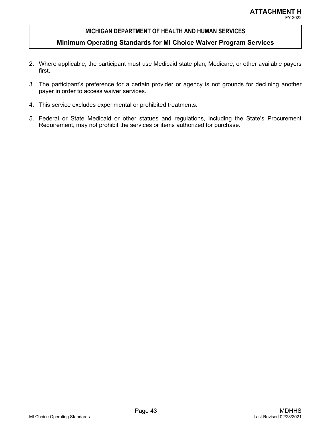- 2. Where applicable, the participant must use Medicaid state plan, Medicare, or other available payers first.
- 3. The participant's preference for a certain provider or agency is not grounds for declining another payer in order to access waiver services.
- 4. This service excludes experimental or prohibited treatments.
- 5. Federal or State Medicaid or other statues and regulations, including the State's Procurement Requirement, may not prohibit the services or items authorized for purchase.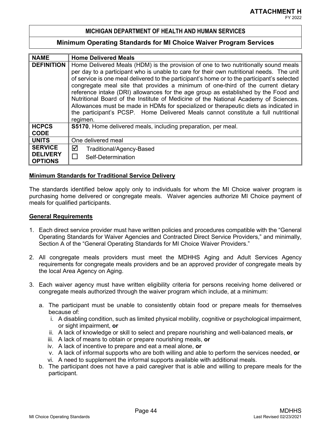### **Minimum Operating Standards for MI Choice Waiver Program Services**

| <b>NAME</b>       | <b>Home Delivered Meals</b>                                                                 |  |  |  |
|-------------------|---------------------------------------------------------------------------------------------|--|--|--|
| <b>DEFINITION</b> | Home Delivered Meals (HDM) is the provision of one to two nutritionally sound meals         |  |  |  |
|                   | per day to a participant who is unable to care for their own nutritional needs. The unit    |  |  |  |
|                   | of service is one meal delivered to the participant's home or to the participant's selected |  |  |  |
|                   | congregate meal site that provides a minimum of one-third of the current dietary            |  |  |  |
|                   | reference intake (DRI) allowances for the age group as established by the Food and          |  |  |  |
|                   | Nutritional Board of the Institute of Medicine of the National Academy of Sciences.         |  |  |  |
|                   | Allowances must be made in HDMs for specialized or therapeutic diets as indicated in        |  |  |  |
|                   | the participant's PCSP. Home Delivered Meals cannot constitute a full nutritional           |  |  |  |
|                   | regimen.                                                                                    |  |  |  |
| <b>HCPCS</b>      | <b>S5170.</b> Home delivered meals, including preparation, per meal.                        |  |  |  |
| <b>CODE</b>       |                                                                                             |  |  |  |
| <b>UNITS</b>      | One delivered meal                                                                          |  |  |  |
| <b>SERVICE</b>    | ☑<br>Traditional/Agency-Based                                                               |  |  |  |
| <b>DELIVERY</b>   | Self-Determination                                                                          |  |  |  |
| <b>OPTIONS</b>    |                                                                                             |  |  |  |

## **Minimum Standards for Traditional Service Delivery**

The standards identified below apply only to individuals for whom the MI Choice waiver program is purchasing home delivered or congregate meals. Waiver agencies authorize MI Choice payment of meals for qualified participants.

#### **General Requirements**

- 1. Each direct service provider must have written policies and procedures compatible with the "General Operating Standards for Waiver Agencies and Contracted Direct Service Providers," and minimally, Section A of the "General Operating Standards for MI Choice Waiver Providers."
- 2. All congregate meals providers must meet the MDHHS Aging and Adult Services Agency requirements for congregate meals providers and be an approved provider of congregate meals by the local Area Agency on Aging.
- 3. Each waiver agency must have written eligibility criteria for persons receiving home delivered or congregate meals authorized through the waiver program which include, at a minimum:
	- a. The participant must be unable to consistently obtain food or prepare meals for themselves because of:
		- i. A disabling condition, such as limited physical mobility, cognitive or psychological impairment, or sight impairment, **or**
		- ii. A lack of knowledge or skill to select and prepare nourishing and well-balanced meals, **or**
		- iii. A lack of means to obtain or prepare nourishing meals, **or**
		- iv. A lack of incentive to prepare and eat a meal alone, **or**
		- v. A lack of informal supports who are both willing and able to perform the services needed, **or**
		- vi. A need to supplement the informal supports available with additional meals.
	- b. The participant does not have a paid caregiver that is able and willing to prepare meals for the participant.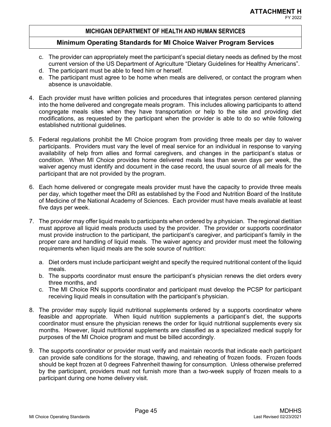- c. The provider can appropriately meet the participant's special dietary needs as defined by the most current version of the US Department of Agriculture "Dietary Guidelines for Healthy Americans".
- d. The participant must be able to feed him or herself.
- e. The participant must agree to be home when meals are delivered, or contact the program when absence is unavoidable.
- 4. Each provider must have written policies and procedures that integrates person centered planning into the home delivered and congregate meals program. This includes allowing participants to attend congregate meals sites when they have transportation or help to the site and providing diet modifications, as requested by the participant when the provider is able to do so while following established nutritional guidelines.
- 5. Federal regulations prohibit the MI Choice program from providing three meals per day to waiver participants. Providers must vary the level of meal service for an individual in response to varying availability of help from allies and formal caregivers, and changes in the participant's status or condition. When MI Choice provides home delivered meals less than seven days per week, the waiver agency must identify and document in the case record, the usual source of all meals for the participant that are not provided by the program.
- 6. Each home delivered or congregate meals provider must have the capacity to provide three meals per day, which together meet the DRI as established by the Food and Nutrition Board of the Institute of Medicine of the National Academy of Sciences. Each provider must have meals available at least five days per week.
- 7. The provider may offer liquid meals to participants when ordered by a physician. The regional dietitian must approve all liquid meals products used by the provider. The provider or supports coordinator must provide instruction to the participant, the participant's caregiver, and participant's family in the proper care and handling of liquid meals. The waiver agency and provider must meet the following requirements when liquid meals are the sole source of nutrition:
	- a. Diet orders must include participant weight and specify the required nutritional content of the liquid meals.
	- b. The supports coordinator must ensure the participant's physician renews the diet orders every three months, and
	- c. The MI Choice RN supports coordinator and participant must develop the PCSP for participant receiving liquid meals in consultation with the participant's physician.
- 8. The provider may supply liquid nutritional supplements ordered by a supports coordinator where feasible and appropriate. When liquid nutrition supplements a participant's diet, the supports coordinator must ensure the physician renews the order for liquid nutritional supplements every six months. However, liquid nutritional supplements are classified as a specialized medical supply for purposes of the MI Choice program and must be billed accordingly.
- 9. The supports coordinator or provider must verify and maintain records that indicate each participant can provide safe conditions for the storage, thawing, and reheating of frozen foods. Frozen foods should be kept frozen at 0 degrees Fahrenheit thawing for consumption. Unless otherwise preferred by the participant, providers must not furnish more than a two-week supply of frozen meals to a participant during one home delivery visit.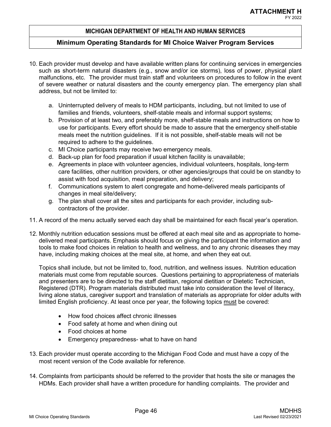## **Minimum Operating Standards for MI Choice Waiver Program Services**

- 10. Each provider must develop and have available written plans for continuing services in emergencies such as short-term natural disasters (e.g., snow and/or ice storms), loss of power, physical plant malfunctions, etc. The provider must train staff and volunteers on procedures to follow in the event of severe weather or natural disasters and the county emergency plan. The emergency plan shall address, but not be limited to:
	- a. Uninterrupted delivery of meals to HDM participants, including, but not limited to use of families and friends, volunteers, shelf-stable meals and informal support systems;
	- b. Provision of at least two, and preferably more, shelf-stable meals and instructions on how to use for participants. Every effort should be made to assure that the emergency shelf-stable meals meet the nutrition guidelines. If it is not possible, shelf-stable meals will not be required to adhere to the guidelines.
	- c. MI Choice participants may receive two emergency meals.
	- d. Back-up plan for food preparation if usual kitchen facility is unavailable;
	- e. Agreements in place with volunteer agencies, individual volunteers, hospitals, long-term care facilities, other nutrition providers, or other agencies/groups that could be on standby to assist with food acquisition, meal preparation, and delivery;
	- f. Communications system to alert congregate and home-delivered meals participants of changes in meal site/delivery;
	- g. The plan shall cover all the sites and participants for each provider, including subcontractors of the provider.
- 11. A record of the menu actually served each day shall be maintained for each fiscal year's operation.
- 12. Monthly nutrition education sessions must be offered at each meal site and as appropriate to homedelivered meal participants. Emphasis should focus on giving the participant the information and tools to make food choices in relation to health and wellness, and to any chronic diseases they may have, including making choices at the meal site, at home, and when they eat out.

Topics shall include, but not be limited to, food, nutrition, and wellness issues. Nutrition education materials must come from reputable sources. Questions pertaining to appropriateness of materials and presenters are to be directed to the staff dietitian, regional dietitian or Dietetic Technician, Registered (DTR). Program materials distributed must take into consideration the level of literacy, living alone status, caregiver support and translation of materials as appropriate for older adults with limited English proficiency. At least once per year, the following topics must be covered:

- How food choices affect chronic illnesses
- Food safety at home and when dining out
- Food choices at home
- Emergency preparedness- what to have on hand
- 13. Each provider must operate according to the Michigan Food Code and must have a copy of the most recent version of the Code available for reference.
- 14. Complaints from participants should be referred to the provider that hosts the site or manages the HDMs. Each provider shall have a written procedure for handling complaints. The provider and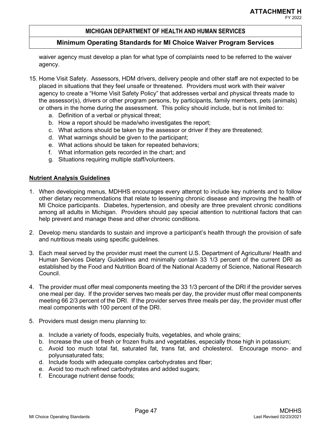## **Minimum Operating Standards for MI Choice Waiver Program Services**

waiver agency must develop a plan for what type of complaints need to be referred to the waiver agency.

- 15. Home Visit Safety. Assessors, HDM drivers, delivery people and other staff are not expected to be placed in situations that they feel unsafe or threatened. Providers must work with their waiver agency to create a "Home Visit Safety Policy" that addresses verbal and physical threats made to the assessor(s), drivers or other program persons, by participants, family members, pets (animals) or others in the home during the assessment. This policy should include, but is not limited to:
	- a. Definition of a verbal or physical threat;
	- b. How a report should be made/who investigates the report;
	- c. What actions should be taken by the assessor or driver if they are threatened;
	- d. What warnings should be given to the participant;
	- e. What actions should be taken for repeated behaviors;
	- f. What information gets recorded in the chart; and
	- g. Situations requiring multiple staff/volunteers.

## **Nutrient Analysis Guidelines**

- 1. When developing menus, MDHHS encourages every attempt to include key nutrients and to follow other dietary recommendations that relate to lessening chronic disease and improving the health of MI Choice participants. Diabetes, hypertension, and obesity are three prevalent chronic conditions among all adults in Michigan. Providers should pay special attention to nutritional factors that can help prevent and manage these and other chronic conditions.
- 2. Develop menu standards to sustain and improve a participant's health through the provision of safe and nutritious meals using specific guidelines.
- 3. Each meal served by the provider must meet the current U.S. Department of Agriculture/ Health and Human Services Dietary Guidelines and minimally contain 33 1/3 percent of the current DRI as established by the Food and Nutrition Board of the National Academy of Science, National Research Council.
- 4. The provider must offer meal components meeting the 33 1/3 percent of the DRI if the provider serves one meal per day. If the provider serves two meals per day, the provider must offer meal components meeting 66 2/3 percent of the DRI. If the provider serves three meals per day, the provider must offer meal components with 100 percent of the DRI.
- 5. Providers must design menu planning to:
	- a. Include a variety of foods, especially fruits, vegetables, and whole grains;
	- b. Increase the use of fresh or frozen fruits and vegetables, especially those high in potassium;
	- c. Avoid too much total fat, saturated fat, trans fat, and cholesterol. Encourage mono- and polyunsaturated fats;
	- d. Include foods with adequate complex carbohydrates and fiber;
	- e. Avoid too much refined carbohydrates and added sugars;
	- f. Encourage nutrient dense foods;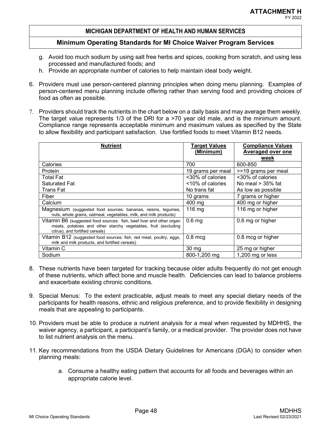- g. Avoid too much sodium by using salt free herbs and spices, cooking from scratch, and using less processed and manufactured foods; and
- h. Provide an appropriate number of calories to help maintain ideal body weight.
- 6. Providers must use person-centered planning principles when doing menu planning. Examples of person-centered menu planning include offering rather than serving food and providing choices of food as often as possible.
- 7. Providers should track the nutrients in the chart below on a daily basis and may average them weekly. The target value represents 1/3 of the DRI for a >70 year old male, and is the minimum amount. Compliance range represents acceptable minimum and maximum values as specified by the State to allow flexibility and participant satisfaction. Use fortified foods to meet Vitamin B12 needs.

| <b>Nutrient</b>                                                                                                                                                           | Target Values<br>(Minimum) | <b>Compliance Values</b><br>Averaged over one<br>week |
|---------------------------------------------------------------------------------------------------------------------------------------------------------------------------|----------------------------|-------------------------------------------------------|
| Calories                                                                                                                                                                  | 700                        | 600-850                                               |
| <b>Protein</b>                                                                                                                                                            | 19 grams per meal          | >=19 grams per meal                                   |
| Total Fat                                                                                                                                                                 | <30% of calories           | <30% of calories                                      |
| Saturated Fat                                                                                                                                                             | <10% of calories           | No meal $>$ 35% fat                                   |
| Trans Fat                                                                                                                                                                 | No trans fat               | As low as possible                                    |
| Fiber                                                                                                                                                                     | 10 grams                   | 7 grams or higher                                     |
| Calcium                                                                                                                                                                   | 400 mg                     | 400 mg or higher                                      |
| Magnesium (suggested food sources: bananas, raisins, legumes,<br>nuts, whole grains, oatmeal, vegetables, milk, and milk products)                                        | $116 \text{ mg}$           | 116 mg or higher                                      |
| Vitamin B6 (suggested food sources: fish, beef liver and other organ<br>meats, potatoes and other starchy vegetables, fruit (excluding<br>citrus), and fortified cereals) | 0.6 <sub>mg</sub>          | 0.6 mg or higher                                      |
| Vitamin B12 (suggested food sources: fish, red meat, poultry, eggs,<br>milk and milk products, and fortified cereals)                                                     | $0.8 \text{~mcg}$          | 0.8 mcg or higher                                     |
| Vitamin C                                                                                                                                                                 | $30 \text{ mg}$            | 25 mg or higher                                       |
| Sodium                                                                                                                                                                    | 800-1,200 mg               | 1,200 mg or less                                      |

- 8. These nutrients have been targeted for tracking because older adults frequently do not get enough of these nutrients, which affect bone and muscle health. Deficiencies can lead to balance problems and exacerbate existing chronic conditions.
- 9. Special Menus: To the extent practicable, adjust meals to meet any special dietary needs of the participants for health reasons, ethnic and religious preference, and to provide flexibility in designing meals that are appealing to participants.
- 10. Providers must be able to produce a nutrient analysis for a meal when requested by MDHHS, the waiver agency, a participant, a participant's family, or a medical provider. The provider does not have to list nutrient analysis on the menu.
- 11. Key recommendations from the USDA Dietary Guidelines for Americans (DGA) to consider when planning meals:
	- a. Consume a healthy eating pattern that accounts for all foods and beverages within an appropriate calorie level.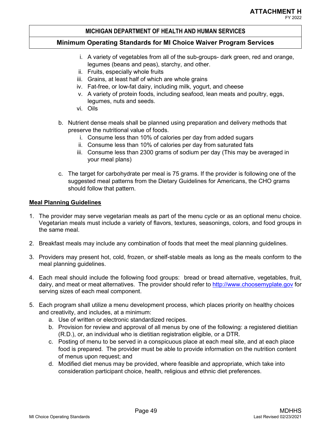# **Minimum Operating Standards for MI Choice Waiver Program Services**

- i. A variety of vegetables from all of the sub-groups- dark green, red and orange, legumes (beans and peas), starchy, and other.
- ii. Fruits, especially whole fruits
- iii. Grains, at least half of which are whole grains
- iv. Fat-free, or low-fat dairy, including milk, yogurt, and cheese
- v. A variety of protein foods, including seafood, lean meats and poultry, eggs, legumes, nuts and seeds.
- vi. Oils
- b. Nutrient dense meals shall be planned using preparation and delivery methods that preserve the nutritional value of foods.
	- i. Consume less than 10% of calories per day from added sugars
	- ii. Consume less than 10% of calories per day from saturated fats
	- iii. Consume less than 2300 grams of sodium per day (This may be averaged in your meal plans)
- c. The target for carbohydrate per meal is 75 grams. If the provider is following one of the suggested meal patterns from the Dietary Guidelines for Americans, the CHO grams should follow that pattern.

# **Meal Planning Guidelines**

- 1. The provider may serve vegetarian meals as part of the menu cycle or as an optional menu choice. Vegetarian meals must include a variety of flavors, textures, seasonings, colors, and food groups in the same meal.
- 2. Breakfast meals may include any combination of foods that meet the meal planning guidelines.
- 3. Providers may present hot, cold, frozen, or shelf-stable meals as long as the meals conform to the meal planning guidelines.
- 4. Each meal should include the following food groups: bread or bread alternative, vegetables, fruit, dairy, and meat or meat alternatives. The provider should refer to http://www.choosemyplate.gov for serving sizes of each meal component.
- 5. Each program shall utilize a menu development process, which places priority on healthy choices and creativity, and includes, at a minimum:
	- a. Use of written or electronic standardized recipes.
	- b. Provision for review and approval of all menus by one of the following: a registered dietitian (R.D.), or, an individual who is dietitian registration eligible, or a DTR.
	- c. Posting of menu to be served in a conspicuous place at each meal site, and at each place food is prepared. The provider must be able to provide information on the nutrition content of menus upon request; and
	- d. Modified diet menus may be provided, where feasible and appropriate, which take into consideration participant choice, health, religious and ethnic diet preferences.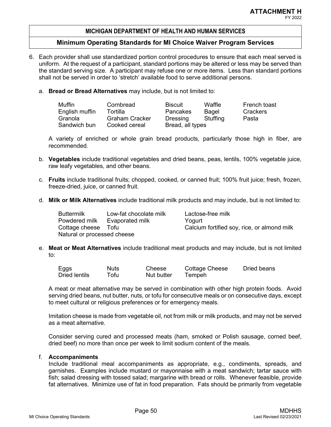## **Minimum Operating Standards for MI Choice Waiver Program Services**

- 6. Each provider shall use standardized portion control procedures to ensure that each meal served is uniform. At the request of a participant, standard portions may be altered or less may be served than the standard serving size. A participant may refuse one or more items. Less than standard portions shall not be served in order to 'stretch' available food to serve additional persons.
	- a. **Bread or Bread Alternatives** may include, but is not limited to:

| Muffin         | Cornbread      | <b>Biscuit</b>   | Waffle   | French toast |
|----------------|----------------|------------------|----------|--------------|
| English muffin | Tortilla       | Pancakes         | Bagel    | Crackers     |
| Granola        | Graham Cracker | Dressing         | Stuffina | Pasta        |
| Sandwich bun   | Cooked cereal  | Bread, all types |          |              |

A variety of enriched or whole grain bread products, particularly those high in fiber, are recommended.

- b. **Vegetables** include traditional vegetables and dried beans, peas, lentils, 100% vegetable juice, raw leafy vegetables, and other beans.
- c. **Fruits** include traditional fruits; chopped, cooked, or canned fruit; 100% fruit juice; fresh, frozen, freeze-dried, juice, or canned fruit.
- d. **Milk or Milk Alternatives** include traditional milk products and may include, but is not limited to:

| <b>Buttermilk</b>           | Low-fat chocolate milk | Lactose-free milk                           |
|-----------------------------|------------------------|---------------------------------------------|
| Powdered milk               | Evaporated milk        | Yogurt                                      |
| Cottage cheese Tofu         |                        | Calcium fortified soy, rice, or almond milk |
| Natural or processed cheese |                        |                                             |

e. **Meat or Meat Alternatives** include traditional meat products and may include, but is not limited to:

| Eggs          | Nuts. | Cheese     | Cottage Cheese | Dried beans |
|---------------|-------|------------|----------------|-------------|
| Dried lentils | Tofu  | Nut butter | Tempeh         |             |

A meat or meat alternative may be served in combination with other high protein foods. Avoid serving dried beans, nut butter, nuts, or tofu for consecutive meals or on consecutive days, except to meet cultural or religious preferences or for emergency meals.

Imitation cheese is made from vegetable oil, not from milk or milk products, and may not be served as a meat alternative.

Consider serving cured and processed meats (ham, smoked or Polish sausage, corned beef, dried beef) no more than once per week to limit sodium content of the meals.

## f. **Accompaniments**

Include traditional meal accompaniments as appropriate, e.g., condiments, spreads, and garnishes. Examples include mustard or mayonnaise with a meat sandwich; tartar sauce with fish; salad dressing with tossed salad; margarine with bread or rolls. Whenever feasible, provide fat alternatives. Minimize use of fat in food preparation. Fats should be primarily from vegetable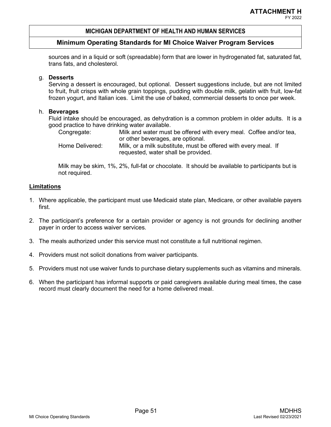# **Minimum Operating Standards for MI Choice Waiver Program Services**

sources and in a liquid or soft (spreadable) form that are lower in hydrogenated fat, saturated fat, trans fats, and cholesterol.

# g. **Desserts**

Serving a dessert is encouraged, but optional. Dessert suggestions include, but are not limited to fruit, fruit crisps with whole grain toppings, pudding with double milk, gelatin with fruit, low-fat frozen yogurt, and Italian ices. Limit the use of baked, commercial desserts to once per week.

# h. **Beverages**

Fluid intake should be encouraged, as dehydration is a common problem in older adults. It is a good practice to have drinking water available.

Congregate: Milk and water must be offered with every meal. Coffee and/or tea, or other beverages, are optional. Home Delivered: Milk, or a milk substitute, must be offered with every meal. If requested, water shall be provided.

Milk may be skim, 1%, 2%, full-fat or chocolate. It should be available to participants but is not required.

- 1. Where applicable, the participant must use Medicaid state plan, Medicare, or other available payers first.
- 2. The participant's preference for a certain provider or agency is not grounds for declining another payer in order to access waiver services.
- 3. The meals authorized under this service must not constitute a full nutritional regimen.
- 4. Providers must not solicit donations from waiver participants.
- 5. Providers must not use waiver funds to purchase dietary supplements such as vitamins and minerals.
- 6. When the participant has informal supports or paid caregivers available during meal times, the case record must clearly document the need for a home delivered meal.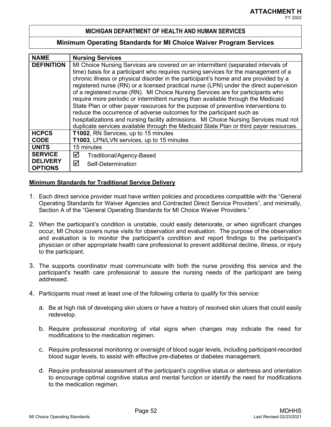## **Minimum Operating Standards for MI Choice Waiver Program Services**

| <b>NAME</b>                       | <b>Nursing Services</b>                                                                |  |  |  |
|-----------------------------------|----------------------------------------------------------------------------------------|--|--|--|
| <b>DEFINITION</b>                 | MI Choice Nursing Services are covered on an intermittent (separated intervals of      |  |  |  |
|                                   | time) basis for a participant who requires nursing services for the management of a    |  |  |  |
|                                   | chronic illness or physical disorder in the participant's home and are provided by a   |  |  |  |
|                                   | registered nurse (RN) or a licensed practical nurse (LPN) under the direct supervision |  |  |  |
|                                   | of a registered nurse (RN). MI Choice Nursing Services are for participants who        |  |  |  |
|                                   | require more periodic or intermittent nursing than available through the Medicaid      |  |  |  |
|                                   | State Plan or other payer resources for the purpose of preventive interventions to     |  |  |  |
|                                   | reduce the occurrence of adverse outcomes for the participant such as                  |  |  |  |
|                                   | hospitalizations and nursing facility admissions. MI Choice Nursing Services must not  |  |  |  |
|                                   | duplicate services available through the Medicaid State Plan or third payer resources. |  |  |  |
| <b>HCPCS</b>                      | T1002, RN Services, up to 15 minutes                                                   |  |  |  |
| <b>CODE</b>                       | T1003, LPN/LVN services, up to 15 minutes                                              |  |  |  |
| <b>UNITS</b>                      | 15 minutes                                                                             |  |  |  |
| <b>SERVICE</b>                    | ☑<br>Traditional/Agency-Based                                                          |  |  |  |
| <b>DELIVERY</b><br><b>OPTIONS</b> | ⊠<br>Self-Determination                                                                |  |  |  |

- 1. Each direct service provider must have written policies and procedures compatible with the "General Operating Standards for Waiver Agencies and Contracted Direct Service Providers", and minimally, Section A of the "General Operating Standards for MI Choice Waiver Providers."
- 2. When the participant's condition is unstable, could easily deteriorate, or when significant changes occur, MI Choice covers nurse visits for observation and evaluation. The purpose of the observation and evaluation is to monitor the participant's condition and report findings to the participant's physician or other appropriate health care professional to prevent additional decline, illness, or injury to the participant.
- 3. The supports coordinator must communicate with both the nurse providing this service and the participant's health care professional to assure the nursing needs of the participant are being addressed.
- 4. Participants must meet at least one of the following criteria to qualify for this service:
	- a. Be at high risk of developing skin ulcers or have a history of resolved skin ulcers that could easily redevelop.
	- b. Require professional monitoring of vital signs when changes may indicate the need for modifications to the medication regimen.
	- c. Require professional monitoring or oversight of blood sugar levels, including participant-recorded blood sugar levels, to assist with effective pre-diabetes or diabetes management.
	- d. Require professional assessment of the participant's cognitive status or alertness and orientation to encourage optimal cognitive status and mental function or identify the need for modifications to the medication regimen.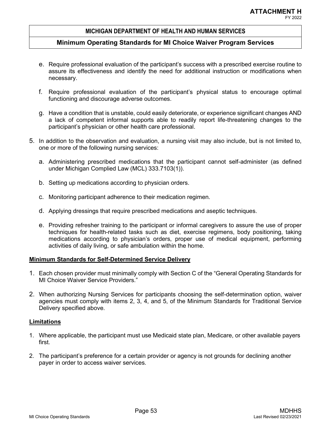## **Minimum Operating Standards for MI Choice Waiver Program Services**

- e. Require professional evaluation of the participant's success with a prescribed exercise routine to assure its effectiveness and identify the need for additional instruction or modifications when necessary.
- f. Require professional evaluation of the participant's physical status to encourage optimal functioning and discourage adverse outcomes.
- g. Have a condition that is unstable, could easily deteriorate, or experience significant changes AND a lack of competent informal supports able to readily report life-threatening changes to the participant's physician or other health care professional.
- 5. In addition to the observation and evaluation, a nursing visit may also include, but is not limited to, one or more of the following nursing services:
	- a. Administering prescribed medications that the participant cannot self-administer (as defined under Michigan Complied Law (MCL) 333.7103(1)).
	- b. Setting up medications according to physician orders.
	- c. Monitoring participant adherence to their medication regimen.
	- d. Applying dressings that require prescribed medications and aseptic techniques.
	- e. Providing refresher training to the participant or informal caregivers to assure the use of proper techniques for health-related tasks such as diet, exercise regimens, body positioning, taking medications according to physician's orders, proper use of medical equipment, performing activities of daily living, or safe ambulation within the home.

## **Minimum Standards for Self-Determined Service Delivery**

- 1. Each chosen provider must minimally comply with Section C of the "General Operating Standards for MI Choice Waiver Service Providers."
- 2. When authorizing Nursing Services for participants choosing the self-determination option, waiver agencies must comply with items 2, 3, 4, and 5, of the Minimum Standards for Traditional Service Delivery specified above.

- 1. Where applicable, the participant must use Medicaid state plan, Medicare, or other available payers first.
- 2. The participant's preference for a certain provider or agency is not grounds for declining another payer in order to access waiver services.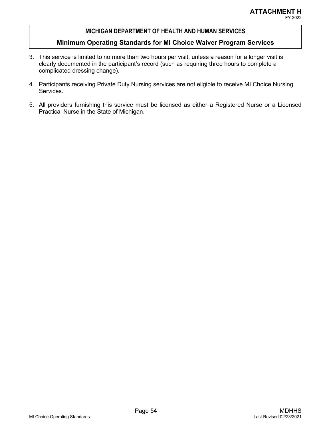- 3. This service is limited to no more than two hours per visit, unless a reason for a longer visit is clearly documented in the participant's record (such as requiring three hours to complete a complicated dressing change).
- 4. Participants receiving Private Duty Nursing services are not eligible to receive MI Choice Nursing Services.
- 5. All providers furnishing this service must be licensed as either a Registered Nurse or a Licensed Practical Nurse in the State of Michigan.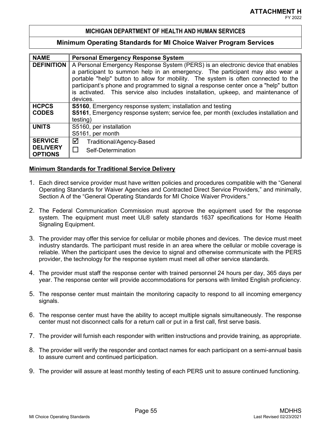#### **Minimum Operating Standards for MI Choice Waiver Program Services**

| <b>NAME</b>                       | <b>Personal Emergency Response System</b>                                           |  |  |  |
|-----------------------------------|-------------------------------------------------------------------------------------|--|--|--|
| <b>DEFINITION</b>                 | A Personal Emergency Response System (PERS) is an electronic device that enables    |  |  |  |
|                                   | a participant to summon help in an emergency. The participant may also wear a       |  |  |  |
|                                   | portable "help" button to allow for mobility. The system is often connected to the  |  |  |  |
|                                   | participant's phone and programmed to signal a response center once a "help" button |  |  |  |
|                                   | is activated. This service also includes installation, upkeep, and maintenance of   |  |  |  |
|                                   | devices.                                                                            |  |  |  |
| <b>HCPCS</b>                      | <b>S5160</b> , Emergency response system; installation and testing                  |  |  |  |
| <b>CODES</b>                      | S5161, Emergency response system; service fee, per month (excludes installation and |  |  |  |
|                                   | testing)                                                                            |  |  |  |
| <b>UNITS</b>                      | S5160, per installation                                                             |  |  |  |
|                                   | S5161, per month                                                                    |  |  |  |
| <b>SERVICE</b>                    | ☑<br>Traditional/Agency-Based                                                       |  |  |  |
| <b>DELIVERY</b><br><b>OPTIONS</b> | П<br>Self-Determination                                                             |  |  |  |

- 1. Each direct service provider must have written policies and procedures compatible with the "General Operating Standards for Waiver Agencies and Contracted Direct Service Providers," and minimally, Section A of the "General Operating Standards for MI Choice Waiver Providers."
- 2. The Federal Communication Commission must approve the equipment used for the response system. The equipment must meet UL® safety standards 1637 specifications for Home Health Signaling Equipment.
- 3. The provider may offer this service for cellular or mobile phones and devices. The device must meet industry standards. The participant must reside in an area where the cellular or mobile coverage is reliable. When the participant uses the device to signal and otherwise communicate with the PERS provider, the technology for the response system must meet all other service standards.
- 4. The provider must staff the response center with trained personnel 24 hours per day, 365 days per year. The response center will provide accommodations for persons with limited English proficiency.
- 5. The response center must maintain the monitoring capacity to respond to all incoming emergency signals.
- 6. The response center must have the ability to accept multiple signals simultaneously. The response center must not disconnect calls for a return call or put in a first call, first serve basis.
- 7. The provider will furnish each responder with written instructions and provide training, as appropriate.
- 8. The provider will verify the responder and contact names for each participant on a semi-annual basis to assure current and continued participation.
- 9. The provider will assure at least monthly testing of each PERS unit to assure continued functioning.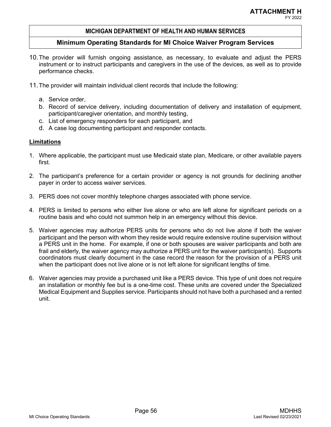## **Minimum Operating Standards for MI Choice Waiver Program Services**

- 10.The provider will furnish ongoing assistance, as necessary, to evaluate and adjust the PERS instrument or to instruct participants and caregivers in the use of the devices, as well as to provide performance checks.
- 11.The provider will maintain individual client records that include the following:
	- a. Service order,
	- b. Record of service delivery, including documentation of delivery and installation of equipment, participant/caregiver orientation, and monthly testing,
	- c. List of emergency responders for each participant, and
	- d. A case log documenting participant and responder contacts.

- 1. Where applicable, the participant must use Medicaid state plan, Medicare, or other available payers first.
- 2. The participant's preference for a certain provider or agency is not grounds for declining another payer in order to access waiver services.
- 3. PERS does not cover monthly telephone charges associated with phone service.
- 4. PERS is limited to persons who either live alone or who are left alone for significant periods on a routine basis and who could not summon help in an emergency without this device.
- 5. Waiver agencies may authorize PERS units for persons who do not live alone if both the waiver participant and the person with whom they reside would require extensive routine supervision without a PERS unit in the home. For example, if one or both spouses are waiver participants and both are frail and elderly, the waiver agency may authorize a PERS unit for the waiver participant(s). Supports coordinators must clearly document in the case record the reason for the provision of a PERS unit when the participant does not live alone or is not left alone for significant lengths of time.
- 6. Waiver agencies may provide a purchased unit like a PERS device. This type of unit does not require an installation or monthly fee but is a one-time cost. These units are covered under the Specialized Medical Equipment and Supplies service. Participants should not have both a purchased and a rented unit.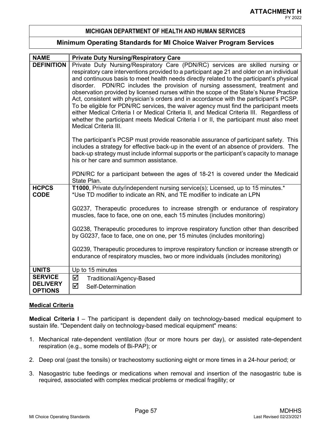## **Minimum Operating Standards for MI Choice Waiver Program Services**

| <b>NAME</b>                 | <b>Private Duty Nursing/Respiratory Care</b>                                                                                                                                           |
|-----------------------------|----------------------------------------------------------------------------------------------------------------------------------------------------------------------------------------|
| <b>DEFINITION</b>           | Private Duty Nursing/Respiratory Care (PDN/RC) services are skilled nursing or                                                                                                         |
|                             | respiratory care interventions provided to a participant age 21 and older on an individual<br>and continuous basis to meet health needs directly related to the participant's physical |
|                             | disorder. PDN/RC includes the provision of nursing assessment, treatment and                                                                                                           |
|                             | observation provided by licensed nurses within the scope of the State's Nurse Practice<br>Act, consistent with physician's orders and in accordance with the participant's PCSP.       |
|                             | To be eligible for PDN/RC services, the waiver agency must find the participant meets                                                                                                  |
|                             | either Medical Criteria I or Medical Criteria II, and Medical Criteria III. Regardless of                                                                                              |
|                             | whether the participant meets Medical Criteria I or II, the participant must also meet<br>Medical Criteria III.                                                                        |
|                             | The participant's PCSP must provide reasonable assurance of participant safety. This                                                                                                   |
|                             | includes a strategy for effective back-up in the event of an absence of providers. The<br>back-up strategy must include informal supports or the participant's capacity to manage      |
|                             | his or her care and summon assistance.                                                                                                                                                 |
|                             |                                                                                                                                                                                        |
|                             | PDN/RC for a participant between the ages of 18-21 is covered under the Medicaid<br>State Plan.                                                                                        |
| <b>HCPCS</b><br><b>CODE</b> | T1000, Private duty/independent nursing service(s); Licensed, up to 15 minutes.*<br>*Use TD modifier to indicate an RN, and TE modifier to indicate an LPN                             |
|                             | G0237, Therapeutic procedures to increase strength or endurance of respiratory                                                                                                         |
|                             | muscles, face to face, one on one, each 15 minutes (includes monitoring)                                                                                                               |
|                             | G0238, Therapeutic procedures to improve respiratory function other than described                                                                                                     |
|                             | by G0237, face to face, one on one, per 15 minutes (includes monitoring)                                                                                                               |
|                             | G0239, Therapeutic procedures to improve respiratory function or increase strength or                                                                                                  |
|                             | endurance of respiratory muscles, two or more individuals (includes monitoring)                                                                                                        |
| <b>UNITS</b>                | Up to 15 minutes                                                                                                                                                                       |
| <b>SERVICE</b>              |                                                                                                                                                                                        |
| <b>DELIVERY</b>             | ☑<br>Traditional/Agency-Based                                                                                                                                                          |
| <b>OPTIONS</b>              | ☑<br>Self-Determination                                                                                                                                                                |

## **Medical Criteria**

**Medical Criteria I** – The participant is dependent daily on technology-based medical equipment to sustain life. "Dependent daily on technology-based medical equipment" means:

- 1. Mechanical rate-dependent ventilation (four or more hours per day), or assisted rate-dependent respiration (e.g., some models of Bi-PAP); or
- 2. Deep oral (past the tonsils) or tracheostomy suctioning eight or more times in a 24-hour period; or
- 3. Nasogastric tube feedings or medications when removal and insertion of the nasogastric tube is required, associated with complex medical problems or medical fragility; or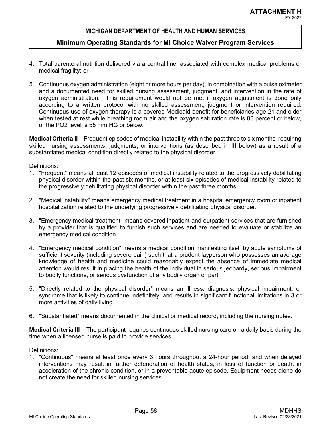## **Minimum Operating Standards for MI Choice Waiver Program Services**

- 4. Total parenteral nutrition delivered via a central line, associated with complex medical problems or medical fragility; or
- 5. Continuous oxygen administration (eight or more hours per day), in combination with a pulse oximeter and a documented need for skilled nursing assessment, judgment, and intervention in the rate of oxygen administration. This requirement would not be met if oxygen adjustment is done only according to a written protocol with no skilled assessment, judgment or intervention required. Continuous use of oxygen therapy is a covered Medicaid benefit for beneficiaries age 21 and older when tested at rest while breathing room air and the oxygen saturation rate is 88 percent or below, or the PO2 level is 55 mm HG or below.

**Medical Criteria II** – Frequent episodes of medical instability within the past three to six months, requiring skilled nursing assessments, judgments, or interventions (as described in III below) as a result of a substantiated medical condition directly related to the physical disorder.

#### Definitions:

- 1. "Frequent" means at least 12 episodes of medical instability related to the progressively debilitating physical disorder within the past six months, or at least six episodes of medical instability related to the progressively debilitating physical disorder within the past three months.
- 2. "Medical instability" means emergency medical treatment in a hospital emergency room or inpatient hospitalization related to the underlying progressively debilitating physical disorder.
- 3. "Emergency medical treatment" means covered inpatient and outpatient services that are furnished by a provider that is qualified to furnish such services and are needed to evaluate or stabilize an emergency medical condition.
- 4. "Emergency medical condition" means a medical condition manifesting itself by acute symptoms of sufficient severity (including severe pain) such that a prudent layperson who possesses an average knowledge of health and medicine could reasonably expect the absence of immediate medical attention would result in placing the health of the individual in serious jeopardy, serious impairment to bodily functions, or serious dysfunction of any bodily organ or part.
- 5. "Directly related to the physical disorder" means an illness, diagnosis, physical impairment, or syndrome that is likely to continue indefinitely, and results in significant functional limitations in 3 or more activities of daily living.
- 6. "Substantiated" means documented in the clinical or medical record, including the nursing notes.

**Medical Criteria III** – The participant requires continuous skilled nursing care on a daily basis during the time when a licensed nurse is paid to provide services.

## Definitions:

1. "Continuous" means at least once every 3 hours throughout a 24-hour period, and when delayed interventions may result in further deterioration of health status, in loss of function or death, in acceleration of the chronic condition, or in a preventable acute episode. Equipment needs alone do not create the need for skilled nursing services.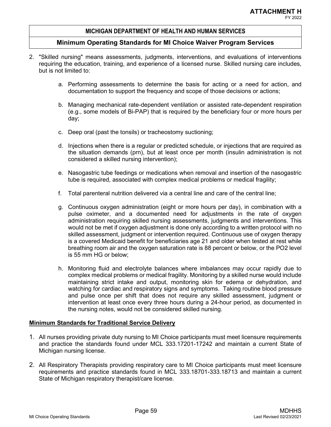## **Minimum Operating Standards for MI Choice Waiver Program Services**

- 2. "Skilled nursing" means assessments, judgments, interventions, and evaluations of interventions requiring the education, training, and experience of a licensed nurse. Skilled nursing care includes, but is not limited to:
	- a. Performing assessments to determine the basis for acting or a need for action, and documentation to support the frequency and scope of those decisions or actions;
	- b. Managing mechanical rate-dependent ventilation or assisted rate-dependent respiration (e.g., some models of Bi-PAP) that is required by the beneficiary four or more hours per day;
	- c. Deep oral (past the tonsils) or tracheostomy suctioning;
	- d. Injections when there is a regular or predicted schedule, or injections that are required as the situation demands (prn), but at least once per month (insulin administration is not considered a skilled nursing intervention);
	- e. Nasogastric tube feedings or medications when removal and insertion of the nasogastric tube is required, associated with complex medical problems or medical fragility;
	- f. Total parenteral nutrition delivered via a central line and care of the central line;
	- g. Continuous oxygen administration (eight or more hours per day), in combination with a pulse oximeter, and a documented need for adjustments in the rate of oxygen administration requiring skilled nursing assessments, judgments and interventions. This would not be met if oxygen adjustment is done only according to a written protocol with no skilled assessment, judgment or intervention required. Continuous use of oxygen therapy is a covered Medicaid benefit for beneficiaries age 21 and older when tested at rest while breathing room air and the oxygen saturation rate is 88 percent or below, or the PO2 level is 55 mm HG or below;
	- h. Monitoring fluid and electrolyte balances where imbalances may occur rapidly due to complex medical problems or medical fragility. Monitoring by a skilled nurse would include maintaining strict intake and output, monitoring skin for edema or dehydration, and watching for cardiac and respiratory signs and symptoms. Taking routine blood pressure and pulse once per shift that does not require any skilled assessment, judgment or intervention at least once every three hours during a 24-hour period, as documented in the nursing notes, would not be considered skilled nursing.

- 1. All nurses providing private duty nursing to MI Choice participants must meet licensure requirements and practice the standards found under MCL 333.17201-17242 and maintain a current State of Michigan nursing license.
- 2. All Respiratory Therapists providing respiratory care to MI Choice participants must meet licensure requirements and practice standards found in MCL 333.18701-333.18713 and maintain a current State of Michigan respiratory therapist/care license.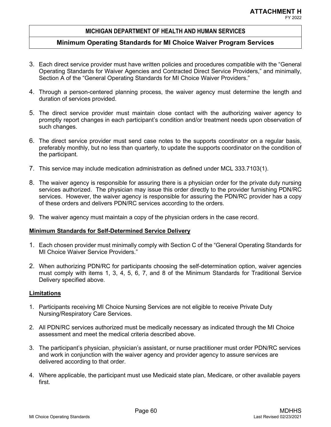## **Minimum Operating Standards for MI Choice Waiver Program Services**

- 3. Each direct service provider must have written policies and procedures compatible with the "General Operating Standards for Waiver Agencies and Contracted Direct Service Providers," and minimally, Section A of the "General Operating Standards for MI Choice Waiver Providers."
- 4. Through a person-centered planning process, the waiver agency must determine the length and duration of services provided.
- 5. The direct service provider must maintain close contact with the authorizing waiver agency to promptly report changes in each participant's condition and/or treatment needs upon observation of such changes.
- 6. The direct service provider must send case notes to the supports coordinator on a regular basis, preferably monthly, but no less than quarterly, to update the supports coordinator on the condition of the participant.
- 7. This service may include medication administration as defined under MCL 333.7103(1).
- 8. The waiver agency is responsible for assuring there is a physician order for the private duty nursing services authorized. The physician may issue this order directly to the provider furnishing PDN/RC services. However, the waiver agency is responsible for assuring the PDN/RC provider has a copy of these orders and delivers PDN/RC services according to the orders.
- 9. The waiver agency must maintain a copy of the physician orders in the case record.

#### **Minimum Standards for Self-Determined Service Delivery**

- 1. Each chosen provider must minimally comply with Section C of the "General Operating Standards for MI Choice Waiver Service Providers."
- 2. When authorizing PDN/RC for participants choosing the self-determination option, waiver agencies must comply with items 1, 3, 4, 5, 6, 7, and 8 of the Minimum Standards for Traditional Service Delivery specified above.

- 1. Participants receiving MI Choice Nursing Services are not eligible to receive Private Duty Nursing/Respiratory Care Services.
- 2. All PDN/RC services authorized must be medically necessary as indicated through the MI Choice assessment and meet the medical criteria described above.
- 3. The participant's physician, physician's assistant, or nurse practitioner must order PDN/RC services and work in conjunction with the waiver agency and provider agency to assure services are delivered according to that order.
- 4. Where applicable, the participant must use Medicaid state plan, Medicare, or other available payers first.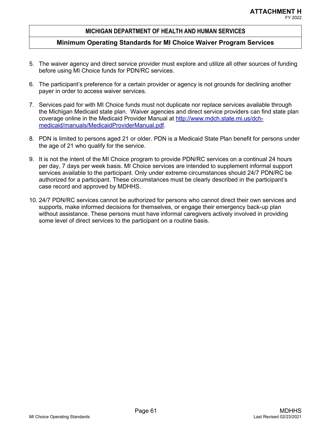- 5. The waiver agency and direct service provider must explore and utilize all other sources of funding before using MI Choice funds for PDN/RC services.
- 6. The participant's preference for a certain provider or agency is not grounds for declining another payer in order to access waiver services.
- 7. Services paid for with MI Choice funds must not duplicate nor replace services available through the Michigan Medicaid state plan. Waiver agencies and direct service providers can find state plan coverage online in the Medicaid Provider Manual at http://www.mdch.state.mi.us/dchmedicaid/manuals/MedicaidProviderManual.pdf.
- 8. PDN is limited to persons aged 21 or older. PDN is a Medicaid State Plan benefit for persons under the age of 21 who qualify for the service.
- 9. It is not the intent of the MI Choice program to provide PDN/RC services on a continual 24 hours per day, 7 days per week basis. MI Choice services are intended to supplement informal support services available to the participant. Only under extreme circumstances should 24/7 PDN/RC be authorized for a participant. These circumstances must be clearly described in the participant's case record and approved by MDHHS.
- 10. 24/7 PDN/RC services cannot be authorized for persons who cannot direct their own services and supports, make informed decisions for themselves, or engage their emergency back-up plan without assistance. These persons must have informal caregivers actively involved in providing some level of direct services to the participant on a routine basis.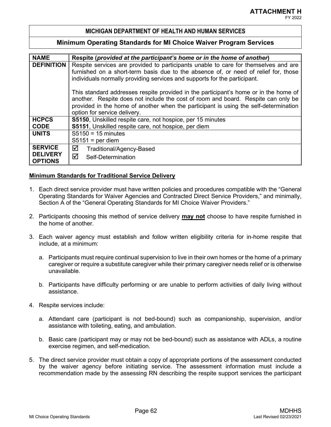## **Minimum Operating Standards for MI Choice Waiver Program Services**

| <b>NAME</b>       | Respite (provided at the participant's home or in the home of another)               |
|-------------------|--------------------------------------------------------------------------------------|
| <b>DEFINITION</b> | Respite services are provided to participants unable to care for themselves and are  |
|                   | furnished on a short-term basis due to the absence of, or need of relief for, those  |
|                   | individuals normally providing services and supports for the participant.            |
|                   |                                                                                      |
|                   | This standard addresses respite provided in the participant's home or in the home of |
|                   | another. Respite does not include the cost of room and board. Respite can only be    |
|                   | provided in the home of another when the participant is using the self-determination |
|                   | option for service delivery.                                                         |
| <b>HCPCS</b>      | S5150, Unskilled respite care, not hospice, per 15 minutes                           |
| <b>CODE</b>       | S5151, Unskilled respite care, not hospice, per diem                                 |
| <b>UNITS</b>      | $S5150 = 15$ minutes                                                                 |
|                   | $S5151 = per$ diem                                                                   |
| <b>SERVICE</b>    | ☑<br>Traditional/Agency-Based                                                        |
| <b>DELIVERY</b>   | ☑<br>Self-Determination                                                              |
| <b>OPTIONS</b>    |                                                                                      |

- 1. Each direct service provider must have written policies and procedures compatible with the "General Operating Standards for Waiver Agencies and Contracted Direct Service Providers," and minimally, Section A of the "General Operating Standards for MI Choice Waiver Providers."
- 2. Participants choosing this method of service delivery **may not** choose to have respite furnished in the home of another.
- 3. Each waiver agency must establish and follow written eligibility criteria for in-home respite that include, at a minimum:
	- a. Participants must require continual supervision to live in their own homes or the home of a primary caregiver or require a substitute caregiver while their primary caregiver needs relief or is otherwise unavailable.
	- b. Participants have difficulty performing or are unable to perform activities of daily living without assistance.
- 4. Respite services include:
	- a. Attendant care (participant is not bed-bound) such as companionship, supervision, and/or assistance with toileting, eating, and ambulation.
	- b. Basic care (participant may or may not be bed-bound) such as assistance with ADLs, a routine exercise regimen, and self-medication.
- 5. The direct service provider must obtain a copy of appropriate portions of the assessment conducted by the waiver agency before initiating service. The assessment information must include a recommendation made by the assessing RN describing the respite support services the participant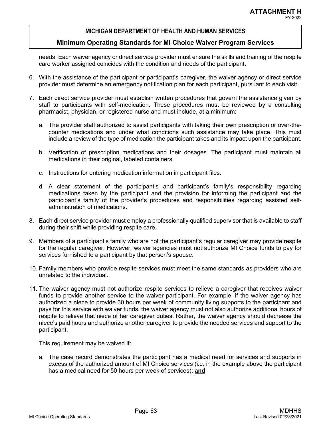## **Minimum Operating Standards for MI Choice Waiver Program Services**

needs. Each waiver agency or direct service provider must ensure the skills and training of the respite care worker assigned coincides with the condition and needs of the participant.

- 6. With the assistance of the participant or participant's caregiver, the waiver agency or direct service provider must determine an emergency notification plan for each participant, pursuant to each visit.
- 7. Each direct service provider must establish written procedures that govern the assistance given by staff to participants with self-medication. These procedures must be reviewed by a consulting pharmacist, physician, or registered nurse and must include, at a minimum:
	- a. The provider staff authorized to assist participants with taking their own prescription or over-thecounter medications and under what conditions such assistance may take place. This must include a review of the type of medication the participant takes and its impact upon the participant.
	- b. Verification of prescription medications and their dosages. The participant must maintain all medications in their original, labeled containers.
	- c. Instructions for entering medication information in participant files.
	- d. A clear statement of the participant's and participant's family's responsibility regarding medications taken by the participant and the provision for informing the participant and the participant's family of the provider's procedures and responsibilities regarding assisted selfadministration of medications.
- 8. Each direct service provider must employ a professionally qualified supervisor that is available to staff during their shift while providing respite care.
- 9. Members of a participant's family who are not the participant's regular caregiver may provide respite for the regular caregiver. However, waiver agencies must not authorize MI Choice funds to pay for services furnished to a participant by that person's spouse.
- 10. Family members who provide respite services must meet the same standards as providers who are unrelated to the individual.
- 11. The waiver agency must not authorize respite services to relieve a caregiver that receives waiver funds to provide another service to the waiver participant. For example, if the waiver agency has authorized a niece to provide 30 hours per week of community living supports to the participant and pays for this service with waiver funds, the waiver agency must not also authorize additional hours of respite to relieve that niece of her caregiver duties. Rather, the waiver agency should decrease the niece's paid hours and authorize another caregiver to provide the needed services and support to the participant.

This requirement may be waived if:

a. The case record demonstrates the participant has a medical need for services and supports in excess of the authorized amount of MI Choice services (i.e. in the example above the participant has a medical need for 50 hours per week of services); **and**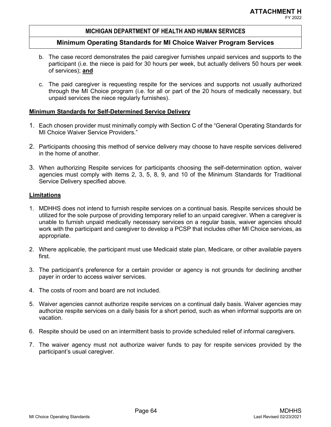# FY 2022

## **MICHIGAN DEPARTMENT OF HEALTH AND HUMAN SERVICES**

## **Minimum Operating Standards for MI Choice Waiver Program Services**

- b. The case record demonstrates the paid caregiver furnishes unpaid services and supports to the participant (i.e. the niece is paid for 30 hours per week, but actually delivers 50 hours per week of services); **and**
- c. The paid caregiver is requesting respite for the services and supports not usually authorized through the MI Choice program (i.e. for all or part of the 20 hours of medically necessary, but unpaid services the niece regularly furnishes).

## **Minimum Standards for Self-Determined Service Delivery**

- 1. Each chosen provider must minimally comply with Section C of the "General Operating Standards for MI Choice Waiver Service Providers."
- 2. Participants choosing this method of service delivery may choose to have respite services delivered in the home of another.
- 3. When authorizing Respite services for participants choosing the self-determination option, waiver agencies must comply with items 2, 3, 5, 8, 9, and 10 of the Minimum Standards for Traditional Service Delivery specified above.

- 1. MDHHS does not intend to furnish respite services on a continual basis. Respite services should be utilized for the sole purpose of providing temporary relief to an unpaid caregiver. When a caregiver is unable to furnish unpaid medically necessary services on a regular basis, waiver agencies should work with the participant and caregiver to develop a PCSP that includes other MI Choice services, as appropriate.
- 2. Where applicable, the participant must use Medicaid state plan, Medicare, or other available payers first.
- 3. The participant's preference for a certain provider or agency is not grounds for declining another payer in order to access waiver services.
- 4. The costs of room and board are not included.
- 5. Waiver agencies cannot authorize respite services on a continual daily basis. Waiver agencies may authorize respite services on a daily basis for a short period, such as when informal supports are on vacation.
- 6. Respite should be used on an intermittent basis to provide scheduled relief of informal caregivers.
- 7. The waiver agency must not authorize waiver funds to pay for respite services provided by the participant's usual caregiver.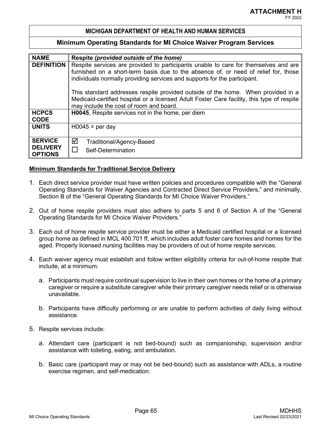## **Minimum Operating Standards for MI Choice Waiver Program Services**

| <b>NAME</b>       | Respite (provided outside of the home)                                                     |
|-------------------|--------------------------------------------------------------------------------------------|
| <b>DEFINITION</b> | Respite services are provided to participants unable to care for themselves and are        |
|                   | furnished on a short-term basis due to the absence of, or need of relief for, those        |
|                   | individuals normally providing services and supports for the participant.                  |
|                   | This standard addresses respite provided outside of the home. When provided in a           |
|                   | Medicaid-certified hospital or a licensed Adult Foster Care facility, this type of respite |
|                   | may include the cost of room and board.                                                    |
| <b>HCPCS</b>      | H0045, Respite services not in the home, per diem                                          |
| <b>CODE</b>       |                                                                                            |
| <b>UNITS</b>      | $H0045 = per day$                                                                          |
|                   |                                                                                            |
| <b>SERVICE</b>    | ☑<br>Traditional/Agency-Based                                                              |
| <b>DELIVERY</b>   | П<br>Self-Determination                                                                    |
| <b>OPTIONS</b>    |                                                                                            |

- 1. Each direct service provider must have written policies and procedures compatible with the "General Operating Standards for Waiver Agencies and Contracted Direct Service Providers," and minimally, Section B of the "General Operating Standards for MI Choice Waiver Providers."
- 2. Out of home respite providers must also adhere to parts 5 and 6 of Section A of the "General Operating Standards for MI Choice Waiver Providers."
- 3. Each out of home respite service provider must be either a Medicaid certified hospital or a licensed group home as defined in MCL 400.701 ff, which includes adult foster care homes and homes for the aged. Properly licensed nursing facilities may be providers of out of home respite services.
- 4. Each waiver agency must establish and follow written eligibility criteria for out-of-home respite that include, at a minimum:
	- a. Participants must require continual supervision to live in their own homes or the home of a primary caregiver or require a substitute caregiver while their primary caregiver needs relief or is otherwise unavailable.
	- b. Participants have difficulty performing or are unable to perform activities of daily living without assistance.
- 5. Respite services include:
	- a. Attendant care (participant is not bed-bound) such as companionship, supervision and/or assistance with toileting, eating, and ambulation.
	- b. Basic care (participant may or may not be bed-bound) such as assistance with ADLs, a routine exercise regimen, and self-medication.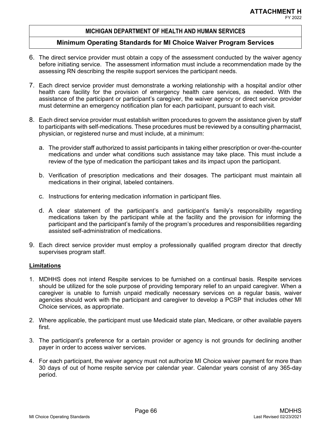## **Minimum Operating Standards for MI Choice Waiver Program Services**

- 6. The direct service provider must obtain a copy of the assessment conducted by the waiver agency before initiating service. The assessment information must include a recommendation made by the assessing RN describing the respite support services the participant needs.
- 7. Each direct service provider must demonstrate a working relationship with a hospital and/or other health care facility for the provision of emergency health care services, as needed. With the assistance of the participant or participant's caregiver, the waiver agency or direct service provider must determine an emergency notification plan for each participant, pursuant to each visit.
- 8. Each direct service provider must establish written procedures to govern the assistance given by staff to participants with self-medications. These procedures must be reviewed by a consulting pharmacist, physician, or registered nurse and must include, at a minimum:
	- a. The provider staff authorized to assist participants in taking either prescription or over-the-counter medications and under what conditions such assistance may take place. This must include a review of the type of medication the participant takes and its impact upon the participant.
	- b. Verification of prescription medications and their dosages. The participant must maintain all medications in their original, labeled containers.
	- c. Instructions for entering medication information in participant files.
	- d. A clear statement of the participant's and participant's family's responsibility regarding medications taken by the participant while at the facility and the provision for informing the participant and the participant's family of the program's procedures and responsibilities regarding assisted self-administration of medications.
- 9. Each direct service provider must employ a professionally qualified program director that directly supervises program staff.

- 1. MDHHS does not intend Respite services to be furnished on a continual basis. Respite services should be utilized for the sole purpose of providing temporary relief to an unpaid caregiver. When a caregiver is unable to furnish unpaid medically necessary services on a regular basis, waiver agencies should work with the participant and caregiver to develop a PCSP that includes other MI Choice services, as appropriate.
- 2. Where applicable, the participant must use Medicaid state plan, Medicare, or other available payers first.
- 3. The participant's preference for a certain provider or agency is not grounds for declining another payer in order to access waiver services.
- 4. For each participant, the waiver agency must not authorize MI Choice waiver payment for more than 30 days of out of home respite service per calendar year. Calendar years consist of any 365-day period.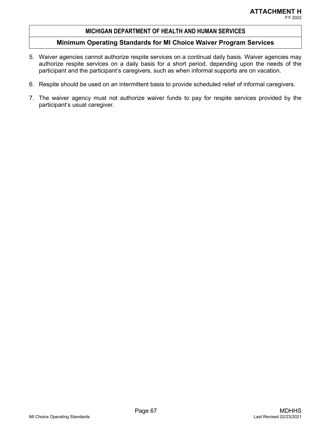# FY 2022

## **MICHIGAN DEPARTMENT OF HEALTH AND HUMAN SERVICES**

- 5. Waiver agencies cannot authorize respite services on a continual daily basis. Waiver agencies may authorize respite services on a daily basis for a short period, depending upon the needs of the participant and the participant's caregivers, such as when informal supports are on vacation.
- 6. Respite should be used on an intermittent basis to provide scheduled relief of informal caregivers.
- 7. The waiver agency must not authorize waiver funds to pay for respite services provided by the participant's usual caregiver.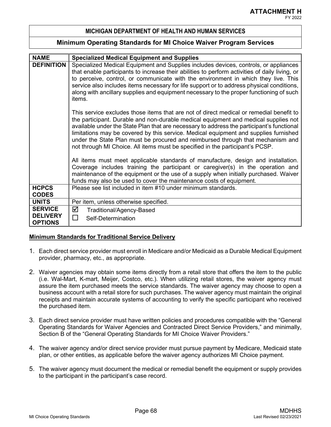## **Minimum Operating Standards for MI Choice Waiver Program Services**

| <b>NAME</b>                       | <b>Specialized Medical Equipment and Supplies</b>                                                                                                                                                                                                                                                                                                                                                                                                                                                                                       |
|-----------------------------------|-----------------------------------------------------------------------------------------------------------------------------------------------------------------------------------------------------------------------------------------------------------------------------------------------------------------------------------------------------------------------------------------------------------------------------------------------------------------------------------------------------------------------------------------|
| <b>DEFINITION</b>                 | Specialized Medical Equipment and Supplies includes devices, controls, or appliances<br>that enable participants to increase their abilities to perform activities of daily living, or<br>to perceive, control, or communicate with the environment in which they live. This<br>service also includes items necessary for life support or to address physical conditions,<br>along with ancillary supplies and equipment necessary to the proper functioning of such<br>items.                                                          |
|                                   | This service excludes those items that are not of direct medical or remedial benefit to<br>the participant. Durable and non-durable medical equipment and medical supplies not<br>available under the State Plan that are necessary to address the participant's functional<br>limitations may be covered by this service. Medical equipment and supplies furnished<br>under the State Plan must be procured and reimbursed through that mechanism and<br>not through MI Choice. All items must be specified in the participant's PCSP. |
|                                   | All items must meet applicable standards of manufacture, design and installation.<br>Coverage includes training the participant or caregiver(s) in the operation and<br>maintenance of the equipment or the use of a supply when initially purchased. Waiver<br>funds may also be used to cover the maintenance costs of equipment.                                                                                                                                                                                                     |
| <b>HCPCS</b>                      | Please see list included in item #10 under minimum standards.                                                                                                                                                                                                                                                                                                                                                                                                                                                                           |
| <b>CODES</b>                      |                                                                                                                                                                                                                                                                                                                                                                                                                                                                                                                                         |
| <b>UNITS</b>                      | Per item, unless otherwise specified.                                                                                                                                                                                                                                                                                                                                                                                                                                                                                                   |
| <b>SERVICE</b>                    | ☑<br>Traditional/Agency-Based                                                                                                                                                                                                                                                                                                                                                                                                                                                                                                           |
| <b>DELIVERY</b><br><b>OPTIONS</b> | $\Box$<br>Self-Determination                                                                                                                                                                                                                                                                                                                                                                                                                                                                                                            |

- 1. Each direct service provider must enroll in Medicare and/or Medicaid as a Durable Medical Equipment provider, pharmacy, etc., as appropriate.
- 2. Waiver agencies may obtain some items directly from a retail store that offers the item to the public (i.e. Wal-Mart, K-mart, Meijer, Costco, etc.). When utilizing retail stores, the waiver agency must assure the item purchased meets the service standards. The waiver agency may choose to open a business account with a retail store for such purchases. The waiver agency must maintain the original receipts and maintain accurate systems of accounting to verify the specific participant who received the purchased item.
- 3. Each direct service provider must have written policies and procedures compatible with the "General Operating Standards for Waiver Agencies and Contracted Direct Service Providers," and minimally, Section B of the "General Operating Standards for MI Choice Waiver Providers."
- 4. The waiver agency and/or direct service provider must pursue payment by Medicare, Medicaid state plan, or other entities, as applicable before the waiver agency authorizes MI Choice payment.
- 5. The waiver agency must document the medical or remedial benefit the equipment or supply provides to the participant in the participant's case record.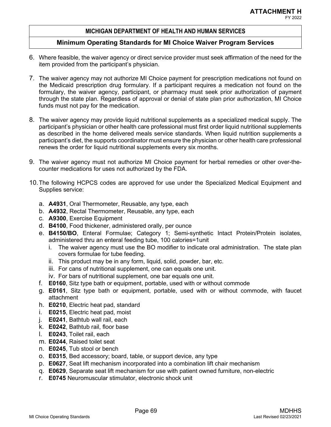# FY 2022

## **MICHIGAN DEPARTMENT OF HEALTH AND HUMAN SERVICES**

- 6. Where feasible, the waiver agency or direct service provider must seek affirmation of the need for the item provided from the participant's physician.
- 7. The waiver agency may not authorize MI Choice payment for prescription medications not found on the Medicaid prescription drug formulary. If a participant requires a medication not found on the formulary, the waiver agency, participant, or pharmacy must seek prior authorization of payment through the state plan. Regardless of approval or denial of state plan prior authorization, MI Choice funds must not pay for the medication.
- 8. The waiver agency may provide liquid nutritional supplements as a specialized medical supply. The participant's physician or other health care professional must first order liquid nutritional supplements as described in the home delivered meals service standards. When liquid nutrition supplements a participant's diet, the supports coordinator must ensure the physician or other health care professional renews the order for liquid nutritional supplements every six months.
- 9. The waiver agency must not authorize MI Choice payment for herbal remedies or other over-thecounter medications for uses not authorized by the FDA.
- 10.The following HCPCS codes are approved for use under the Specialized Medical Equipment and Supplies service:
	- a. **A4931**, Oral Thermometer, Reusable, any type, each
	- b. **A4932**, Rectal Thermometer, Reusable, any type, each
	- c. **A9300**, Exercise Equipment
	- d. **B4100**, Food thickener, administered orally, per ounce
	- e. **B4150/BO**, Enteral Formulae; Category 1; Semi-synthetic Intact Protein/Protein isolates, administered thru an enteral feeding tube, 100 calories=1unit
		- i. The waiver agency must use the BO modifier to indicate oral administration. The state plan covers formulae for tube feeding.
		- ii. This product may be in any form, liquid, solid, powder, bar, etc.
		- iii. For cans of nutritional supplement, one can equals one unit.
		- iv. For bars of nutritional supplement, one bar equals one unit.
	- f. **E0160**, Sitz type bath or equipment, portable, used with or without commode
	- g. **E0161**, Sitz type bath or equipment, portable, used with or without commode, with faucet attachment
	- h. **E0210**, Electric heat pad, standard
	- i. **E0215**, Electric heat pad, moist
	- j. **E0241**, Bathtub wall rail, each
	- k. **E0242**, Bathtub rail, floor base
	- l. **E0243**, Toilet rail, each
	- m. **E0244**, Raised toilet seat
	- n. **E0245**, Tub stool or bench
	- o. **E0315**, Bed accessory; board, table, or support device, any type
	- p. **E0627**, Seat lift mechanism incorporated into a combination lift chair mechanism
	- q. **E0629**, Separate seat lift mechanism for use with patient owned furniture, non-electric
	- r. **E0745** Neuromuscular stimulator, electronic shock unit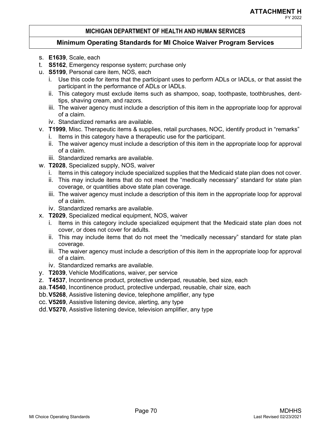## **Minimum Operating Standards for MI Choice Waiver Program Services**

- s. **E1639**, Scale, each
- t. **S5162**, Emergency response system; purchase only
- u. **S5199**, Personal care item, NOS, each
	- i. Use this code for items that the participant uses to perform ADLs or IADLs, or that assist the participant in the performance of ADLs or IADLs.
	- ii. This category must exclude items such as shampoo, soap, toothpaste, toothbrushes, denttips, shaving cream, and razors.
	- iii. The waiver agency must include a description of this item in the appropriate loop for approval of a claim.
	- iv. Standardized remarks are available.
- v. **T1999**, Misc. Therapeutic items & supplies, retail purchases, NOC, identify product in "remarks"
	- i. Items in this category have a therapeutic use for the participant.
	- ii. The waiver agency must include a description of this item in the appropriate loop for approval of a claim.
	- iii. Standardized remarks are available.
- w. **T2028**, Specialized supply, NOS, waiver
	- i. Items in this category include specialized supplies that the Medicaid state plan does not cover.
	- ii. This may include items that do not meet the "medically necessary" standard for state plan coverage, or quantities above state plan coverage.
	- iii. The waiver agency must include a description of this item in the appropriate loop for approval of a claim.
	- iv. Standardized remarks are available.
- x. **T2029**, Specialized medical equipment, NOS, waiver
	- i. Items in this category include specialized equipment that the Medicaid state plan does not cover, or does not cover for adults.
	- ii. This may include items that do not meet the "medically necessary" standard for state plan coverage.
	- iii. The waiver agency must include a description of this item in the appropriate loop for approval of a claim.
	- iv. Standardized remarks are available.
- y. **T2039**, Vehicle Modifications, waiver, per service
- z. **T4537**, Incontinence product, protective underpad, reusable, bed size, each
- aa.**T4540**, Incontinence product, protective underpad, reusable, chair size, each
- bb.**V5268**, Assistive listening device, telephone amplifier, any type
- cc. **V5269**, Assistive listening device, alerting, any type
- dd.**V5270**, Assistive listening device, television amplifier, any type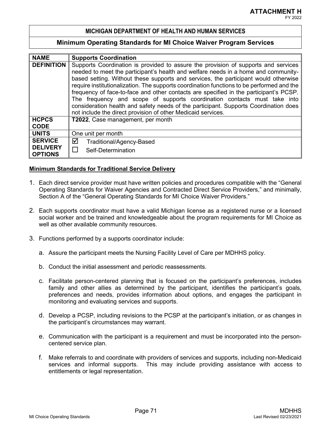### **Minimum Operating Standards for MI Choice Waiver Program Services**

| <b>NAME</b>                                         | <b>Supports Coordination</b>                                                                                                                                                                                                                                                                                                                                                                                                                                                                                                                                                                                                                                                              |
|-----------------------------------------------------|-------------------------------------------------------------------------------------------------------------------------------------------------------------------------------------------------------------------------------------------------------------------------------------------------------------------------------------------------------------------------------------------------------------------------------------------------------------------------------------------------------------------------------------------------------------------------------------------------------------------------------------------------------------------------------------------|
| <b>DEFINITION</b>                                   | Supports Coordination is provided to assure the provision of supports and services<br>needed to meet the participant's health and welfare needs in a home and community-<br>based setting. Without these supports and services, the participant would otherwise<br>require institutionalization. The supports coordination functions to be performed and the<br>frequency of face-to-face and other contacts are specified in the participant's PCSP.<br>The frequency and scope of supports coordination contacts must take into<br>consideration health and safety needs of the participant. Supports Coordination does<br>not include the direct provision of other Medicaid services. |
| <b>HCPCS</b><br><b>CODE</b>                         | T2022, Case management, per month                                                                                                                                                                                                                                                                                                                                                                                                                                                                                                                                                                                                                                                         |
| <b>UNITS</b>                                        | One unit per month                                                                                                                                                                                                                                                                                                                                                                                                                                                                                                                                                                                                                                                                        |
| <b>SERVICE</b><br><b>DELIVERY</b><br><b>OPTIONS</b> | ☑<br>Traditional/Agency-Based<br>Self-Determination                                                                                                                                                                                                                                                                                                                                                                                                                                                                                                                                                                                                                                       |

### **Minimum Standards for Traditional Service Delivery**

- 1. Each direct service provider must have written policies and procedures compatible with the "General Operating Standards for Waiver Agencies and Contracted Direct Service Providers," and minimally, Section A of the "General Operating Standards for MI Choice Waiver Providers."
- 2. Each supports coordinator must have a valid Michigan license as a registered nurse or a licensed social worker and be trained and knowledgeable about the program requirements for MI Choice as well as other available community resources.
- 3. Functions performed by a supports coordinator include:
	- a. Assure the participant meets the Nursing Facility Level of Care per MDHHS policy.
	- b. Conduct the initial assessment and periodic reassessments.
	- c. Facilitate person-centered planning that is focused on the participant's preferences, includes family and other allies as determined by the participant, identifies the participant's goals, preferences and needs, provides information about options, and engages the participant in monitoring and evaluating services and supports.
	- d. Develop a PCSP, including revisions to the PCSP at the participant's initiation, or as changes in the participant's circumstances may warrant.
	- e. Communication with the participant is a requirement and must be incorporated into the personcentered service plan.
	- f. Make referrals to and coordinate with providers of services and supports, including non-Medicaid services and informal supports. This may include providing assistance with access to entitlements or legal representation.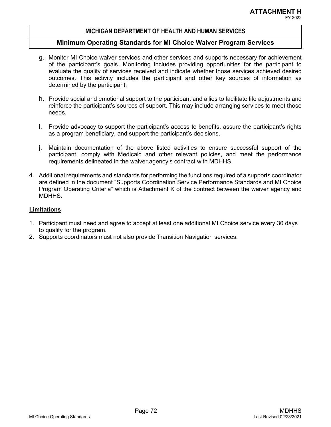#### **Minimum Operating Standards for MI Choice Waiver Program Services**

- g. Monitor MI Choice waiver services and other services and supports necessary for achievement of the participant's goals. Monitoring includes providing opportunities for the participant to evaluate the quality of services received and indicate whether those services achieved desired outcomes. This activity includes the participant and other key sources of information as determined by the participant.
- h. Provide social and emotional support to the participant and allies to facilitate life adjustments and reinforce the participant's sources of support. This may include arranging services to meet those needs.
- i. Provide advocacy to support the participant's access to benefits, assure the participant's rights as a program beneficiary, and support the participant's decisions.
- j. Maintain documentation of the above listed activities to ensure successful support of the participant, comply with Medicaid and other relevant policies, and meet the performance requirements delineated in the waiver agency's contract with MDHHS.
- 4. Additional requirements and standards for performing the functions required of a supports coordinator are defined in the document "Supports Coordination Service Performance Standards and MI Choice Program Operating Criteria" which is Attachment K of the contract between the waiver agency and MDHHS.

#### **Limitations**

- 1. Participant must need and agree to accept at least one additional MI Choice service every 30 days to qualify for the program.
- 2. Supports coordinators must not also provide Transition Navigation services.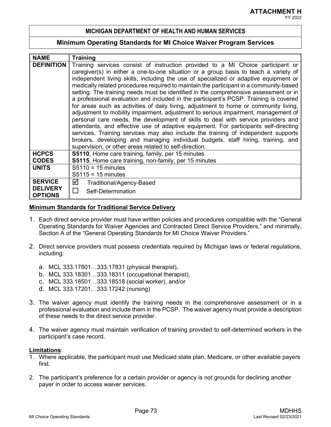#### **Minimum Operating Standards for MI Choice Waiver Program Services**

| <b>NAME</b>                                         | <b>Training</b>                                                                                                                                                                                                                                                                                                                                                                                                                                                                                                                                                                                                                                                                                                                                                                                                                                                                                                                                                                                                                                                                                                                           |
|-----------------------------------------------------|-------------------------------------------------------------------------------------------------------------------------------------------------------------------------------------------------------------------------------------------------------------------------------------------------------------------------------------------------------------------------------------------------------------------------------------------------------------------------------------------------------------------------------------------------------------------------------------------------------------------------------------------------------------------------------------------------------------------------------------------------------------------------------------------------------------------------------------------------------------------------------------------------------------------------------------------------------------------------------------------------------------------------------------------------------------------------------------------------------------------------------------------|
| <b>DEFINITION</b>                                   | Training services consist of instruction provided to a MI Choice participant or<br>caregiver(s) in either a one-to-one situation or a group basis to teach a variety of<br>independent living skills, including the use of specialized or adaptive equipment or<br>medically related procedures required to maintain the participant in a community-based<br>setting. The training needs must be identified in the comprehensive assessment or in<br>a professional evaluation and included in the participant's PCSP. Training is covered<br>for areas such as activities of daily living, adjustment to home or community living,<br>adjustment to mobility impairment, adjustment to serious impairment, management of<br>personal care needs, the development of skills to deal with service providers and<br>attendants, and effective use of adaptive equipment. For participants self-directing<br>services, Training services may also include the training of independent supports<br>brokers, developing and managing individual budgets, staff hiring, training, and<br>supervision, or other areas related to self-direction. |
| <b>HCPCS</b><br><b>CODES</b>                        | S5110, Home care training, family, per 15 minutes<br>S5115, Home care training, non-family, per 15 minutes                                                                                                                                                                                                                                                                                                                                                                                                                                                                                                                                                                                                                                                                                                                                                                                                                                                                                                                                                                                                                                |
| <b>UNITS</b>                                        | $S5110 = 15$ minutes<br>$S5115 = 15$ minutes                                                                                                                                                                                                                                                                                                                                                                                                                                                                                                                                                                                                                                                                                                                                                                                                                                                                                                                                                                                                                                                                                              |
| <b>SERVICE</b><br><b>DELIVERY</b><br><b>OPTIONS</b> | ☑<br>Traditional/Agency-Based<br>Self-Determination                                                                                                                                                                                                                                                                                                                                                                                                                                                                                                                                                                                                                                                                                                                                                                                                                                                                                                                                                                                                                                                                                       |

#### **Minimum Standards for Traditional Service Delivery**

- 1. Each direct service provider must have written policies and procedures compatible with the "General Operating Standards for Waiver Agencies and Contracted Direct Service Providers," and minimally, Section A of the "General Operating Standards for MI Choice Waiver Providers."
- 2. Direct service providers must possess credentials required by Michigan laws or federal regulations, including:
	- a. MCL 333.17801…333.17831 (physical therapist),
	- b. MCL 333.18301…333.18311 (occupational therapist),
	- c. MCL 333.18501…333.18518 (social worker), and/or
	- d. MCL 333.17201…333.17242 (nursing)
- 3. The waiver agency must identify the training needs in the comprehensive assessment or in a professional evaluation and include them in the PCSP. The waiver agency must provide a description of these needs to the direct service provider.
- 4. The waiver agency must maintain verification of training provided to self-determined workers in the participant's case record.

#### **Limitations**:

- 1. Where applicable, the participant must use Medicaid state plan, Medicare, or other available payers first.
- 2. The participant's preference for a certain provider or agency is not grounds for declining another payer in order to access waiver services.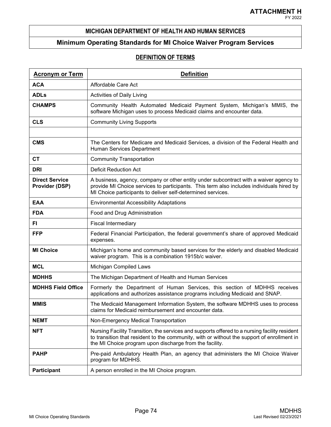# **Minimum Operating Standards for MI Choice Waiver Program Services**

# **DEFINITION OF TERMS**

| <b>Acronym or Term</b>                  | <b>Definition</b>                                                                                                                                                                                                                                      |
|-----------------------------------------|--------------------------------------------------------------------------------------------------------------------------------------------------------------------------------------------------------------------------------------------------------|
| <b>ACA</b>                              | Affordable Care Act                                                                                                                                                                                                                                    |
| <b>ADLs</b>                             | Activities of Daily Living                                                                                                                                                                                                                             |
| <b>CHAMPS</b>                           | Community Health Automated Medicaid Payment System, Michigan's MMIS, the<br>software Michigan uses to process Medicaid claims and encounter data.                                                                                                      |
| <b>CLS</b>                              | <b>Community Living Supports</b>                                                                                                                                                                                                                       |
|                                         |                                                                                                                                                                                                                                                        |
| <b>CMS</b>                              | The Centers for Medicare and Medicaid Services, a division of the Federal Health and<br>Human Services Department                                                                                                                                      |
| <b>CT</b>                               | <b>Community Transportation</b>                                                                                                                                                                                                                        |
| <b>DRI</b>                              | <b>Deficit Reduction Act</b>                                                                                                                                                                                                                           |
| <b>Direct Service</b><br>Provider (DSP) | A business, agency, company or other entity under subcontract with a waiver agency to<br>provide MI Choice services to participants. This term also includes individuals hired by<br>MI Choice participants to deliver self-determined services.       |
| EAA                                     | <b>Environmental Accessibility Adaptations</b>                                                                                                                                                                                                         |
| <b>FDA</b>                              | Food and Drug Administration                                                                                                                                                                                                                           |
| FI.                                     | <b>Fiscal Intermediary</b>                                                                                                                                                                                                                             |
| <b>FFP</b>                              | Federal Financial Participation, the federal government's share of approved Medicaid<br>expenses.                                                                                                                                                      |
| <b>MI Choice</b>                        | Michigan's home and community based services for the elderly and disabled Medicaid<br>waiver program. This is a combination 1915b/c waiver.                                                                                                            |
| <b>MCL</b>                              | Michigan Compiled Laws                                                                                                                                                                                                                                 |
| <b>MDHHS</b>                            | The Michigan Department of Health and Human Services                                                                                                                                                                                                   |
| <b>MDHHS Field Office</b>               | Formerly the Department of Human Services, this section of MDHHS receives<br>applications and authorizes assistance programs including Medicaid and SNAP.                                                                                              |
| <b>MMIS</b>                             | The Medicaid Management Information System, the software MDHHS uses to process<br>claims for Medicaid reimbursement and encounter data.                                                                                                                |
| <b>NEMT</b>                             | Non-Emergency Medical Transportation                                                                                                                                                                                                                   |
| <b>NFT</b>                              | Nursing Facility Transition, the services and supports offered to a nursing facility resident<br>to transition that resident to the community, with or without the support of enrollment in<br>the MI Choice program upon discharge from the facility. |
| <b>PAHP</b>                             | Pre-paid Ambulatory Health Plan, an agency that administers the MI Choice Waiver<br>program for MDHHS.                                                                                                                                                 |
| <b>Participant</b>                      | A person enrolled in the MI Choice program.                                                                                                                                                                                                            |